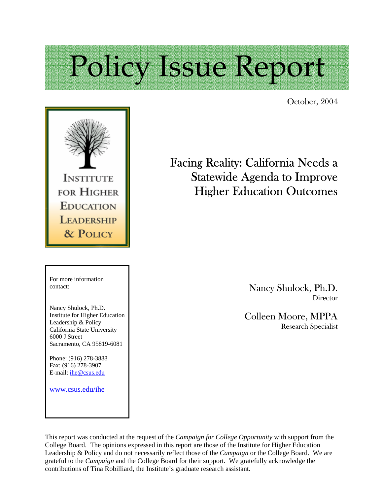# Policy Issue Report

October, 2004



For more information contact:

Nancy Shulock, Ph.D. Institute for Higher Education Leadership & Policy California State University 6000 J Street Sacramento, CA 95819-6081

Phone: (916) 278-3888 Fax: (916) 278-3907 E-mail: ihe@csus.edu

www.csus.edu/ihe

# Facing Reality: California Needs a Statewide Agenda to Improve Higher Education Outcomes

Nancy Shulock, Ph.D. **Director** 

Colleen Moore, MPPA Research Specialist

This report was conducted at the request of the *Campaign for College Opportunity* with support from the College Board. The opinions expressed in this report are those of the Institute for Higher Education Leadership & Policy and do not necessarily reflect those of the *Campaign* or the College Board. We are grateful to the *Campaign* and the College Board for their support. We gratefully acknowledge the contributions of Tina Robilliard, the Institute's graduate research assistant.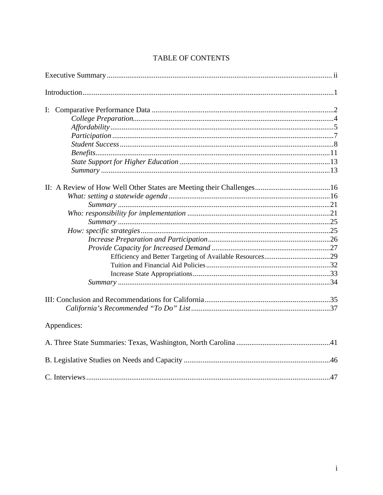| Appendices: |  |
|-------------|--|
|             |  |
|             |  |
|             |  |

# TABLE OF CONTENTS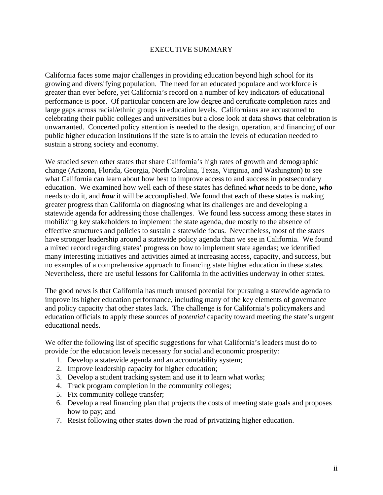#### EXECUTIVE SUMMARY

California faces some major challenges in providing education beyond high school for its growing and diversifying population. The need for an educated populace and workforce is greater than ever before, yet California's record on a number of key indicators of educational performance is poor. Of particular concern are low degree and certificate completion rates and large gaps across racial/ethnic groups in education levels. Californians are accustomed to celebrating their public colleges and universities but a close look at data shows that celebration is unwarranted. Concerted policy attention is needed to the design, operation, and financing of our public higher education institutions if the state is to attain the levels of education needed to sustain a strong society and economy.

We studied seven other states that share California's high rates of growth and demographic change (Arizona, Florida, Georgia, North Carolina, Texas, Virginia, and Washington) to see what California can learn about how best to improve access to and success in postsecondary education. We examined how well each of these states has defined *what* needs to be done, *who* needs to do it, and *how* it will be accomplished. We found that each of these states is making greater progress than California on diagnosing what its challenges are and developing a statewide agenda for addressing those challenges. We found less success among these states in mobilizing key stakeholders to implement the state agenda, due mostly to the absence of effective structures and policies to sustain a statewide focus. Nevertheless, most of the states have stronger leadership around a statewide policy agenda than we see in California. We found a mixed record regarding states' progress on how to implement state agendas; we identified many interesting initiatives and activities aimed at increasing access, capacity, and success, but no examples of a comprehensive approach to financing state higher education in these states. Nevertheless, there are useful lessons for California in the activities underway in other states.

The good news is that California has much unused potential for pursuing a statewide agenda to improve its higher education performance, including many of the key elements of governance and policy capacity that other states lack. The challenge is for California's policymakers and education officials to apply these sources of *potential* capacity toward meeting the state's urgent educational needs.

We offer the following list of specific suggestions for what California's leaders must do to provide for the education levels necessary for social and economic prosperity:

- 1. Develop a statewide agenda and an accountability system;
- 2. Improve leadership capacity for higher education;
- 3. Develop a student tracking system and use it to learn what works;
- 4. Track program completion in the community colleges;
- 5. Fix community college transfer;
- 6. Develop a real financing plan that projects the costs of meeting state goals and proposes how to pay; and
- 7. Resist following other states down the road of privatizing higher education.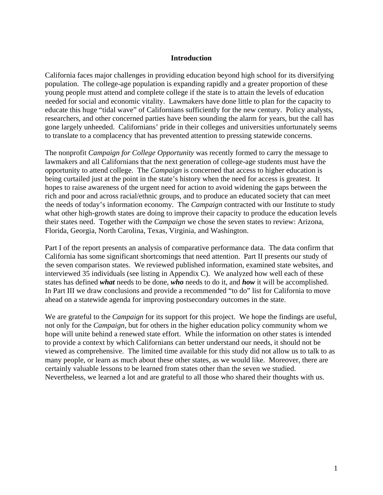#### **Introduction**

California faces major challenges in providing education beyond high school for its diversifying population. The college-age population is expanding rapidly and a greater proportion of these young people must attend and complete college if the state is to attain the levels of education needed for social and economic vitality. Lawmakers have done little to plan for the capacity to educate this huge "tidal wave" of Californians sufficiently for the new century. Policy analysts, researchers, and other concerned parties have been sounding the alarm for years, but the call has gone largely unheeded. Californians' pride in their colleges and universities unfortunately seems to translate to a complacency that has prevented attention to pressing statewide concerns.

The nonprofit *Campaign for College Opportunity* was recently formed to carry the message to lawmakers and all Californians that the next generation of college-age students must have the opportunity to attend college. The *Campaign* is concerned that access to higher education is being curtailed just at the point in the state's history when the need for access is greatest. It hopes to raise awareness of the urgent need for action to avoid widening the gaps between the rich and poor and across racial/ethnic groups, and to produce an educated society that can meet the needs of today's information economy. The *Campaign* contracted with our Institute to study what other high-growth states are doing to improve their capacity to produce the education levels their states need. Together with the *Campaign* we chose the seven states to review: Arizona, Florida, Georgia, North Carolina, Texas, Virginia, and Washington.

Part I of the report presents an analysis of comparative performance data. The data confirm that California has some significant shortcomings that need attention. Part II presents our study of the seven comparison states. We reviewed published information, examined state websites, and interviewed 35 individuals (see listing in Appendix C). We analyzed how well each of these states has defined *what* needs to be done, *who* needs to do it, and *how* it will be accomplished. In Part III we draw conclusions and provide a recommended "to do" list for California to move ahead on a statewide agenda for improving postsecondary outcomes in the state.

We are grateful to the *Campaign* for its support for this project. We hope the findings are useful, not only for the *Campaign,* but for others in the higher education policy community whom we hope will unite behind a renewed state effort. While the information on other states is intended to provide a context by which Californians can better understand our needs, it should not be viewed as comprehensive. The limited time available for this study did not allow us to talk to as many people, or learn as much about these other states, as we would like. Moreover, there are certainly valuable lessons to be learned from states other than the seven we studied. Nevertheless, we learned a lot and are grateful to all those who shared their thoughts with us.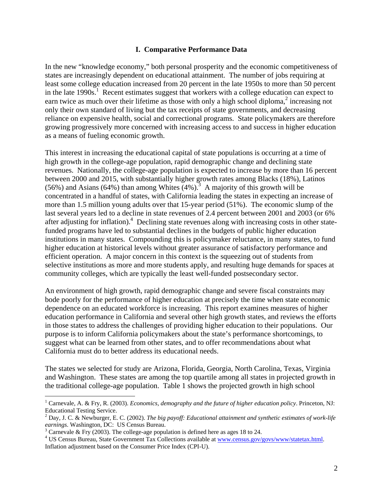#### **I. Comparative Performance Data**

In the new "knowledge economy," both personal prosperity and the economic competitiveness of states are increasingly dependent on educational attainment. The number of jobs requiring at least some college education increased from 20 percent in the late 1950s to more than 50 percent in the late  $1990s$ .<sup>1</sup> Recent estimates suggest that workers with a college education can expect to earn twice as much over their lifetime as those with only a high school diploma,<sup>2</sup> increasing not only their own standard of living but the tax receipts of state governments, and decreasing reliance on expensive health, social and correctional programs. State policymakers are therefore growing progressively more concerned with increasing access to and success in higher education as a means of fueling economic growth.

This interest in increasing the educational capital of state populations is occurring at a time of high growth in the college-age population, rapid demographic change and declining state revenues. Nationally, the college-age population is expected to increase by more than 16 percent between 2000 and 2015, with substantially higher growth rates among Blacks (18%), Latinos (56%) and Asians (64%) than among Whites  $(4%)$ .<sup>3</sup> A majority of this growth will be concentrated in a handful of states, with California leading the states in expecting an increase of more than 1.5 million young adults over that 15-year period (51%). The economic slump of the last several years led to a decline in state revenues of 2.4 percent between 2001 and 2003 (or 6% after adjusting for inflation).<sup>4</sup> Declining state revenues along with increasing costs in other statefunded programs have led to substantial declines in the budgets of public higher education institutions in many states. Compounding this is policymaker reluctance, in many states, to fund higher education at historical levels without greater assurance of satisfactory performance and efficient operation. A major concern in this context is the squeezing out of students from selective institutions as more and more students apply, and resulting huge demands for spaces at community colleges, which are typically the least well-funded postsecondary sector.

An environment of high growth, rapid demographic change and severe fiscal constraints may bode poorly for the performance of higher education at precisely the time when state economic dependence on an educated workforce is increasing. This report examines measures of higher education performance in California and several other high growth states, and reviews the efforts in those states to address the challenges of providing higher education to their populations. Our purpose is to inform California policymakers about the state's performance shortcomings, to suggest what can be learned from other states, and to offer recommendations about what California must do to better address its educational needs.

The states we selected for study are Arizona, Florida, Georgia, North Carolina, Texas, Virginia and Washington. These states are among the top quartile among all states in projected growth in the traditional college-age population. Table 1 shows the projected growth in high school

 $\overline{a}$ 

<sup>&</sup>lt;sup>1</sup> Carnevale, A. & Fry, R. (2003). *Economics, demography and the future of higher education policy*. Princeton, NJ: Educational Testing Service.

<sup>2</sup> Day, J. C. & Newburger, E. C. (2002). *The big payoff: Educational attainment and synthetic estimates of work-life earnings*. Washington, DC: US Census Bureau. 3

 $3$  Carnevale & Fry (2003). The college-age population is defined here as ages 18 to 24.

<sup>&</sup>lt;sup>4</sup> US Census Bureau, State Government Tax Collections available at www.census.gov/govs/www/statetax.html. Inflation adjustment based on the Consumer Price Index (CPI-U).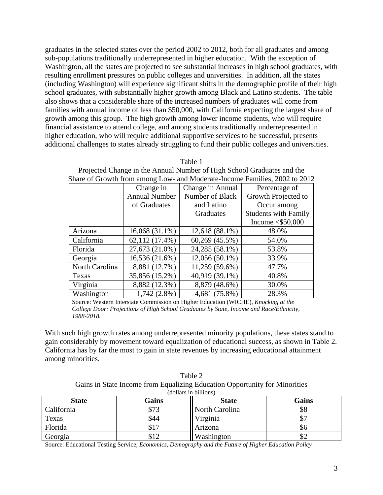graduates in the selected states over the period 2002 to 2012, both for all graduates and among sub-populations traditionally underrepresented in higher education. With the exception of Washington, all the states are projected to see substantial increases in high school graduates, with resulting enrollment pressures on public colleges and universities. In addition, all the states (including Washington) will experience significant shifts in the demographic profile of their high school graduates, with substantially higher growth among Black and Latino students. The table also shows that a considerable share of the increased numbers of graduates will come from families with annual income of less than \$50,000, with California expecting the largest share of growth among this group. The high growth among lower income students, who will require financial assistance to attend college, and among students traditionally underrepresented in higher education, who will require additional supportive services to be successful, presents additional challenges to states already struggling to fund their public colleges and universities.

| Share of Growth from among Low- and Moderate-Income Families, 2002 to 2012 |                      |                  |                             |  |
|----------------------------------------------------------------------------|----------------------|------------------|-----------------------------|--|
|                                                                            | Change in            | Change in Annual | Percentage of               |  |
|                                                                            | <b>Annual Number</b> | Number of Black  | Growth Projected to         |  |
|                                                                            | of Graduates         | and Latino       | Occur among                 |  |
|                                                                            |                      | Graduates        | <b>Students with Family</b> |  |
|                                                                            |                      |                  | Income $\leq$ \$50,000      |  |
| Arizona                                                                    | $16,068(31.1\%)$     | $12,618(88.1\%)$ | 48.0%                       |  |
| California                                                                 | 62,112 (17.4%)       | 60,269 (45.5%)   | 54.0%                       |  |
| Florida                                                                    | 27,673 (21.0%)       | 24,285 (58.1%)   | 53.8%                       |  |
| Georgia                                                                    | 16,536 (21.6%)       | $12,056(50.1\%)$ | 33.9%                       |  |
| North Carolina                                                             | 8,881 (12.7%)        | 11,259 (59.6%)   | 47.7%                       |  |
| Texas                                                                      | 35,856 (15.2%)       | 40,919 (39.1%)   | 40.8%                       |  |
| Virginia                                                                   | 8,882 (12.3%)        | 8,879 (48.6%)    | 30.0%                       |  |
| Washington                                                                 | $1,742(2.8\%)$       | 4,681 (75.8%)    | 28.3%                       |  |

Table 1 Projected Change in the Annual Number of High School Graduates and the

Source: Western Interstate Commission on Higher Education (WICHE), *Knocking at the College Door: Projections of High School Graduates by State, Income and Race/Ethnicity, 1988-2018.*

With such high growth rates among underrepresented minority populations, these states stand to gain considerably by movement toward equalization of educational success, as shown in Table 2. California has by far the most to gain in state revenues by increasing educational attainment among minorities.

| Table 2                                                                    |
|----------------------------------------------------------------------------|
| Gains in State Income from Equalizing Education Opportunity for Minorities |
| (dollars in billions)                                                      |

| <b>State</b> | Gains          | <b>State</b>   | Gains |
|--------------|----------------|----------------|-------|
| California   | \$73           | North Carolina | ১১    |
| Texas        | \$44           | Virginia       |       |
| Florida      |                | Arizona        | DО    |
| Georgia      | 0 l 1<br>D 1 ∠ | Washington     | ╜᠘    |

Source: Educational Testing Service, *Economics, Demography and the Future of Higher Education Policy*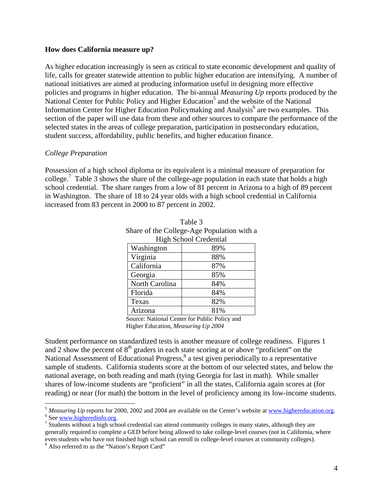#### **How does California measure up?**

As higher education increasingly is seen as critical to state economic development and quality of life, calls for greater statewide attention to public higher education are intensifying. A number of national initiatives are aimed at producing information useful in designing more effective policies and programs in higher education. The bi-annual *Measuring Up* reports produced by the National Center for Public Policy and Higher Education<sup>5</sup> and the website of the National Information Center for Higher Education Policymaking and Analysis<sup>6</sup> are two examples. This section of the paper will use data from these and other sources to compare the performance of the selected states in the areas of college preparation, participation in postsecondary education, student success, affordability, public benefits, and higher education finance.

#### *College Preparation*

Possession of a high school diploma or its equivalent is a minimal measure of preparation for college.<sup>7</sup> Table 3 shows the share of the college-age population in each state that holds a high school credential. The share ranges from a low of 81 percent in Arizona to a high of 89 percent in Washington. The share of 18 to 24 year olds with a high school credential in California increased from 83 percent in 2000 to 87 percent in 2002.

Table 3

| Share of the College-Age Population with a |     |  |  |
|--------------------------------------------|-----|--|--|
| <b>High School Credential</b>              |     |  |  |
| Washington                                 | 89% |  |  |
| Virginia                                   | 88% |  |  |
| California                                 | 87% |  |  |
| Georgia                                    | 85% |  |  |
| North Carolina                             | 84% |  |  |
| Florida                                    | 84% |  |  |
| Texas                                      | 82% |  |  |
| Arizona                                    | 81% |  |  |

Source: National Center for Public Policy and

Higher Education, *Measuring Up 2004* 

Student performance on standardized tests is another measure of college readiness. Figures 1 and 2 show the percent of  $8<sup>th</sup>$  graders in each state scoring at or above "proficient" on the National Assessment of Educational Progress,<sup>8</sup> a test given periodically to a representative sample of students. California students score at the bottom of our selected states, and below the national average, on both reading and math (tying Georgia for last in math). While smaller shares of low-income students are "proficient" in all the states, California again scores at (for reading) or near (for math) the bottom in the level of proficiency among its low-income students.

 $\overline{a}$ <sup>5</sup> *Measuring Up* reports for 2000, 2002 and 2004 are available on the Center's website at www.highereducation.org.  $6$  See www.higheredinfo.org.

 $\frac{7}{1}$  Students without a high school credential can attend community colleges in many states, although they are generally required to complete a GED before being allowed to take college-level courses (not in California, where even students who have not finished high school can enroll in college-level courses at community colleges).

<sup>&</sup>lt;sup>8</sup> Also referred to as the "Nation's Report Card"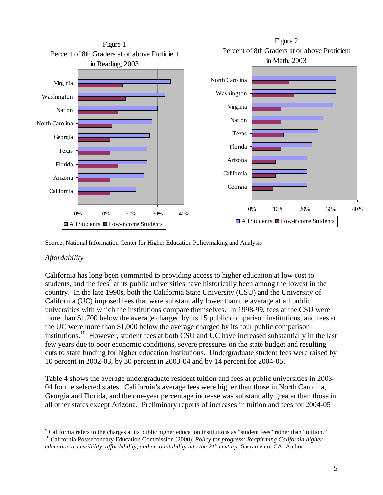

Source: National Information Center for Higher Education Policymaking and Analysis

# *Affordability*

California has long been committed to providing access to higher education at low cost to students, and the fees<sup>9</sup> at its public universities have historically been among the lowest in the country. In the late 1990s, both the California State University (CSU) and the University of California (UC) imposed fees that were substantially lower than the average at all public universities with which the institutions compare themselves. In 1998-99, fees at the CSU were more than \$1,700 below the average charged by its 15 public comparison institutions, and fees at the UC were more than \$1,000 below the average charged by its four public comparison institutions.<sup>10</sup> However, student fees at both CSU and UC have increased substantially in the last few years due to poor economic conditions, severe pressures on the state budget and resulting cuts to state funding for higher education institutions. Undergraduate student fees were raised by 10 percent in 2002-03, by 30 percent in 2003-04 and by 14 percent for 2004-05.

Table 4 shows the average undergraduate resident tuition and fees at public universities in 2003- 04 for the selected states. California's average fees were higher than those in North Carolina, Georgia and Florida, and the one-year percentage increase was substantially greater than those in all other states except Arizona. Preliminary reports of increases in tuition and fees for 2004-05

 $\overline{a}$ <sup>9</sup> California refers to the charges at its public higher education institutions as "student fees" rather than "tuition." <sup>10</sup> California Postsecondary Education Commission (2000). Policy for progress: Reaffirming California higher *education accessibility, affordability, and accountability into the 21<sup>st</sup> century. Sacramento, CA: Author.*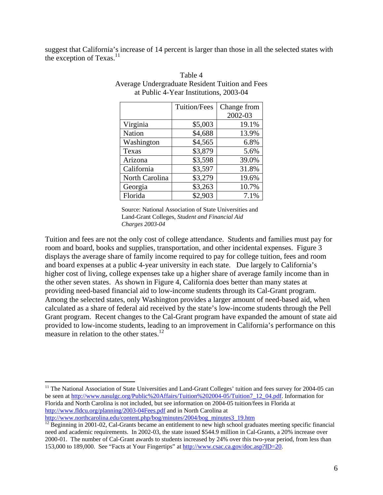suggest that California's increase of 14 percent is larger than those in all the selected states with the exception of  $Texas.<sup>11</sup>$ 

|                | Tuition/Fees | Change from |
|----------------|--------------|-------------|
|                |              | 2002-03     |
| Virginia       | \$5,003      | 19.1%       |
| <b>Nation</b>  | \$4,688      | 13.9%       |
| Washington     | \$4,565      | 6.8%        |
| Texas          | \$3,879      | 5.6%        |
| Arizona        | \$3,598      | 39.0%       |
| California     | \$3,597      | 31.8%       |
| North Carolina | \$3,279      | 19.6%       |
| Georgia        | \$3,263      | 10.7%       |
| Florida        | \$2,903      | 7.1%        |

| Table 4                                                |
|--------------------------------------------------------|
| <b>Average Undergraduate Resident Tuition and Fees</b> |
| at Public 4-Year Institutions, 2003-04                 |

 $T_1$  1 1 4

Source: National Association of State Universities and Land-Grant Colleges, *Student and Financial Aid Charges 2003-04*

Tuition and fees are not the only cost of college attendance. Students and families must pay for room and board, books and supplies, transportation, and other incidental expenses. Figure 3 displays the average share of family income required to pay for college tuition, fees and room and board expenses at a public 4-year university in each state. Due largely to California's higher cost of living, college expenses take up a higher share of average family income than in the other seven states. As shown in Figure 4, California does better than many states at providing need-based financial aid to low-income students through its Cal-Grant program. Among the selected states, only Washington provides a larger amount of need-based aid, when calculated as a share of federal aid received by the state's low-income students through the Pell Grant program. Recent changes to the Cal-Grant program have expanded the amount of state aid provided to low-income students, leading to an improvement in California's performance on this measure in relation to the other states.<sup>12</sup>

 $\overline{a}$ 

<sup>&</sup>lt;sup>11</sup> The National Association of State Universities and Land-Grant Colleges' tuition and fees survey for 2004-05 can be seen at http://www.nasulgc.org/Public%20Affairs/Tuition%202004-05/Tuition7\_12\_04.pdf. Information for Florida and North Carolina is not included, but see information on 2004-05 tuition/fees in Florida at http://www.fldcu.org/planning/2003-04Fees.pdf and in North Carolina at

 $\frac{http://www.northcarolina.edu/content.php/bog/minutes/2004/bog-minutes3_19.htm}{12}$ <br> $\frac{http://www.northcarolina.edu/content.php/bog/minutes/2004/bog-minutes3_19.htm}{12}$ need and academic requirements. In 2002-03, the state issued \$544.9 million in Cal-Grants, a 20% increase over 2000-01. The number of Cal-Grant awards to students increased by 24% over this two-year period, from less than 153,000 to 189,000. See "Facts at Your Fingertips" at http://www.csac.ca.gov/doc.asp?ID=20.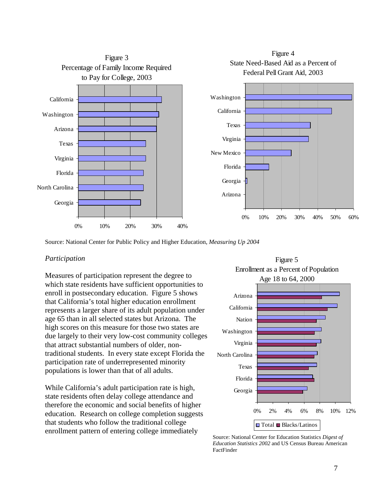

Source: National Center for Public Policy and Higher Education, *Measuring Up 2004*

#### *Participation*

Measures of participation represent the degree to which state residents have sufficient opportunities to enroll in postsecondary education. Figure 5 shows that California's total higher education enrollment represents a larger share of its adult population under age 65 than in all selected states but Arizona. The high scores on this measure for those two states are due largely to their very low-cost community colleges that attract substantial numbers of older, nontraditional students. In every state except Florida the participation rate of underrepresented minority populations is lower than that of all adults.

While California's adult participation rate is high, state residents often delay college attendance and therefore the economic and social benefits of higher education. Research on college completion suggests that students who follow the traditional college enrollment pattern of entering college immediately



Source: National Center for Education Statistics *Digest of Education Statistics 2002* and US Census Bureau American FactFinder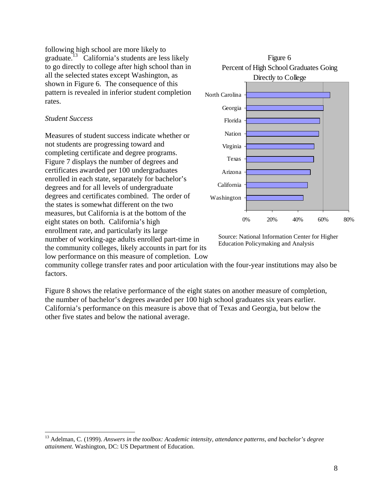following high school are more likely to graduate.<sup>13</sup> California's students are less likely to go directly to college after high school than in all the selected states except Washington, as shown in Figure 6. The consequence of this pattern is revealed in inferior student completion rates.

#### *Student Success*

 $\overline{a}$ 

Measures of student success indicate whether or not students are progressing toward and completing certificate and degree programs. Figure 7 displays the number of degrees and certificates awarded per 100 undergraduates enrolled in each state, separately for bachelor's degrees and for all levels of undergraduate degrees and certificates combined. The order of the states is somewhat different on the two measures, but California is at the bottom of the eight states on both. California's high enrollment rate, and particularly its large number of working-age adults enrolled part-time in the community colleges, likely accounts in part for its low performance on this measure of completion. Low



Source: National Information Center for Higher Education Policymaking and Analysis

community college transfer rates and poor articulation with the four-year institutions may also be factors.

Figure 8 shows the relative performance of the eight states on another measure of completion, the number of bachelor's degrees awarded per 100 high school graduates six years earlier. California's performance on this measure is above that of Texas and Georgia, but below the other five states and below the national average.

<sup>13</sup> Adelman, C. (1999). *Answers in the toolbox: Academic intensity, attendance patterns, and bachelor's degree attainment*. Washington, DC: US Department of Education.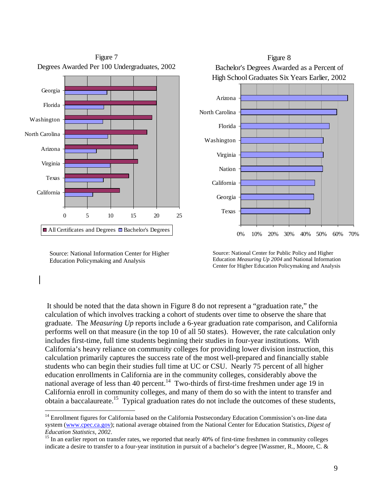

Source: National Information Center for Higher Education Policymaking and Analysis

 $\overline{a}$ 



Source: National Center for Public Policy and Higher Education *Measuring Up 2004* and National Information Center for Higher Education Policymaking and Analysis

 It should be noted that the data shown in Figure 8 do not represent a "graduation rate," the calculation of which involves tracking a cohort of students over time to observe the share that graduate. The *Measuring Up* reports include a 6-year graduation rate comparison, and California performs well on that measure (in the top 10 of all 50 states). However, the rate calculation only includes first-time, full time students beginning their studies in four-year institutions. With California's heavy reliance on community colleges for providing lower division instruction, this calculation primarily captures the success rate of the most well-prepared and financially stable students who can begin their studies full time at UC or CSU. Nearly 75 percent of all higher education enrollments in California are in the community colleges, considerably above the national average of less than 40 percent.<sup>14</sup> Two-thirds of first-time freshmen under age 19 in California enroll in community colleges, and many of them do so with the intent to transfer and obtain a baccalaureate.<sup>15</sup> Typical graduation rates do not include the outcomes of these students,

<sup>&</sup>lt;sup>14</sup> Enrollment figures for California based on the California Postsecondary Education Commission's on-line data system (www.cpec.ca.gov); national average obtained from the National Center for Education Statistics, *Digest of* 

*Education Statistics, 2002.*<br><sup>15</sup> In an earlier report on transfer rates, we reported that nearly 40% of first-time freshmen in community colleges indicate a desire to transfer to a four-year institution in pursuit of a bachelor's degree [Wassmer, R., Moore, C. &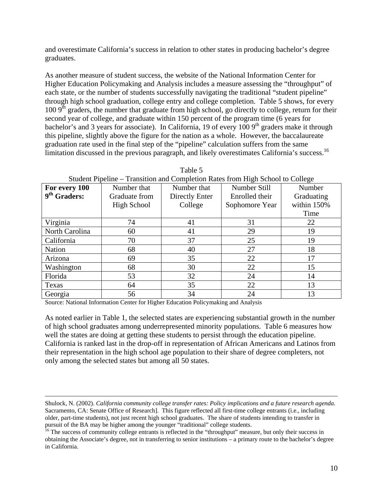and overestimate California's success in relation to other states in producing bachelor's degree graduates.

As another measure of student success, the website of the National Information Center for Higher Education Policymaking and Analysis includes a measure assessing the "throughput" of each state, or the number of students successfully navigating the traditional "student pipeline" through high school graduation, college entry and college completion. Table 5 shows, for every 100  $9<sup>th</sup>$  graders, the number that graduate from high school, go directly to college, return for their second year of college, and graduate within 150 percent of the program time (6 years for bachelor's and 3 years for associate). In California, 19 of every  $1009<sup>th</sup>$  graders make it through this pipeline, slightly above the figure for the nation as a whole. However, the baccalaureate graduation rate used in the final step of the "pipeline" calculation suffers from the same limitation discussed in the previous paragraph, and likely overestimates California's success.16

| For every 100  | Number that   | Number that    | Number Still<br>Number |             |
|----------------|---------------|----------------|------------------------|-------------|
| $9th$ Graders: | Graduate from | Directly Enter | Enrolled their         | Graduating  |
|                | High School   | College        | Sophomore Year         | within 150% |
|                |               |                |                        | Time        |
| Virginia       | 74            | 41             | 31                     | 22          |
| North Carolina | 60            | 41             | 29                     | 19          |
| California     | 70            | 37             | 25                     | 19          |
| <b>Nation</b>  | 68            | 40             | 27                     | 18          |
| Arizona        | 69            | 35             | 22                     | 17          |
| Washington     | 68            | 30             | 22                     | 15          |
| Florida        | 53            | 32             | 24                     | 14          |
| Texas          | 64            | 35             | 22                     | 13          |
| Georgia        | 56            | 34             | 24                     | 13          |

| Table 5                                                                        |
|--------------------------------------------------------------------------------|
| Student Pipeline – Transition and Completion Rates from High School to College |

Source: National Information Center for Higher Education Policymaking and Analysis

As noted earlier in Table 1, the selected states are experiencing substantial growth in the number of high school graduates among underrepresented minority populations. Table 6 measures how well the states are doing at getting these students to persist through the education pipeline. California is ranked last in the drop-off in representation of African Americans and Latinos from their representation in the high school age population to their share of degree completers, not only among the selected states but among all 50 states.

Shulock, N. (2002). *California community college transfer rates: Policy implications and a future research agenda*. Sacramento, CA: Senate Office of Research]. This figure reflected all first-time college entrants (i.e., including older, part-time students), not just recent high school graduates. The share of students intending to transfer in pursuit of the BA may be higher among the younger "traditional" college students.

<sup>&</sup>lt;sup>16</sup> The success of community college entrants is reflected in the "throughput" measure, but only their success in obtaining the Associate's degree, not in transferring to senior institutions – a primary route to the bachelor's degree in California.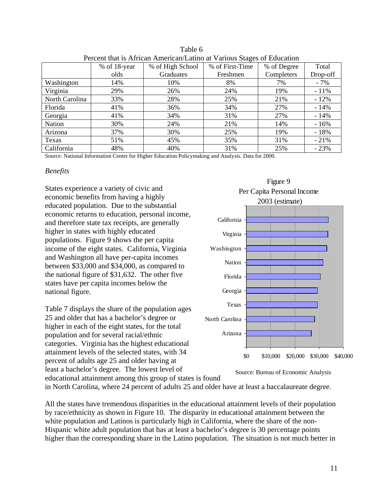| I CICCIN that is Allican Allichcan Latino at Various Stages of Ludcation |              |                  |                                |            |          |
|--------------------------------------------------------------------------|--------------|------------------|--------------------------------|------------|----------|
|                                                                          | % of 18-year | % of High School | % of First-Time<br>% of Degree |            | Total    |
|                                                                          | olds         | Graduates        | Freshmen                       | Completers | Drop-off |
| Washington                                                               | 14%          | 10%              | 8%                             | 7%         | $-7%$    |
| Virginia                                                                 | 29%          | 26%              | 24%                            | 19%        | $-11\%$  |
| North Carolina                                                           | 33%          | 28%              | 25%                            | 21%        | $-12%$   |
| Florida                                                                  | 41%          | 36%              | 34%                            | 27%        | $-14%$   |
| Georgia                                                                  | 41%          | 34%              | 31%                            | 27%        | $-14%$   |
| Nation                                                                   | 30%          | 24%              | 21%                            | 14%        | $-16%$   |
| Arizona                                                                  | 37%          | 30%              | 25%                            | 19%        | $-18%$   |
| Texas                                                                    | 51%          | 45%              | 35%                            | 31%        | $-21%$   |
| California                                                               | 48%          | 40%              | 31%                            | 25%        | $-23%$   |

Table 6 Percent that is African American/Latino at Various Stages of Education

Source: National Information Center for Higher Education Policymaking and Analysis. Data for 2000.

#### *Benefits*

States experience a variety of civic and economic benefits from having a highly educated population. Due to the substantial economic returns to education, personal income, and therefore state tax receipts, are generally higher in states with highly educated populations. Figure 9 shows the per capita income of the eight states. California, Virginia and Washington all have per-capita incomes between \$33,000 and \$34,000, as compared to the national figure of \$31,632. The other five states have per capita incomes below the national figure.

Table 7 displays the share of the population ages 25 and older that has a bachelor's degree or higher in each of the eight states, for the total population and for several racial/ethnic categories. Virginia has the highest educational attainment levels of the selected states, with 34 percent of adults age 25 and older having at least a bachelor's degree. The lowest level of educational attainment among this group of states is found



Source: Bureau of Economic Analysis

in North Carolina, where 24 percent of adults 25 and older have at least a baccalaureate degree.

All the states have tremendous disparities in the educational attainment levels of their population by race/ethnicity as shown in Figure 10. The disparity in educational attainment between the white population and Latinos is particularly high in California, where the share of the non-Hispanic white adult population that has at least a bachelor's degree is 30 percentage points higher than the corresponding share in the Latino population. The situation is not much better in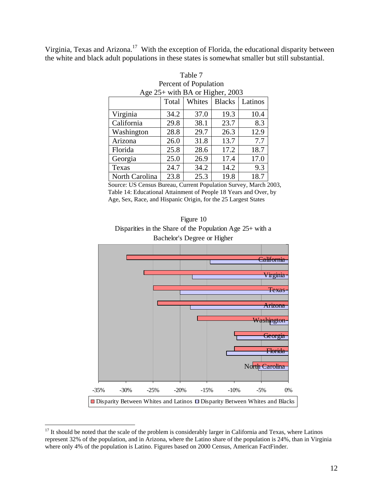Virginia, Texas and Arizona.<sup>17</sup> With the exception of Florida, the educational disparity between the white and black adult populations in these states is somewhat smaller but still substantial.

| Percent of Population                       |      |      |      |      |  |
|---------------------------------------------|------|------|------|------|--|
| Age 25+ with BA or Higher, 2003             |      |      |      |      |  |
| Whites<br><b>Blacks</b><br>Latinos<br>Total |      |      |      |      |  |
| Virginia                                    | 34.2 | 37.0 | 19.3 | 10.4 |  |
| California                                  | 29.8 | 38.1 | 23.7 | 8.3  |  |
| Washington                                  | 28.8 | 29.7 | 26.3 | 12.9 |  |
| Arizona                                     | 26.0 | 31.8 | 13.7 | 7.7  |  |
| Florida                                     | 25.8 | 28.6 | 17.2 | 18.7 |  |
| Georgia                                     | 25.0 | 26.9 | 17.4 | 17.0 |  |
| Texas                                       | 24.7 | 34.2 | 14.2 | 9.3  |  |
| North Carolina                              | 23.8 | 25.3 | 19.8 | 18.7 |  |

Table 7 Percent of Population

Source: US Census Bureau, Current Population Survey, March 2003, Table 14: Educational Attainment of People 18 Years and Over, by Age, Sex, Race, and Hispanic Origin, for the 25 Largest States





 $17$  It should be noted that the scale of the problem is considerably larger in California and Texas, where Latinos represent 32% of the population, and in Arizona, where the Latino share of the population is 24%, than in Virginia where only 4% of the population is Latino. Figures based on 2000 Census, American FactFinder.

 $\overline{a}$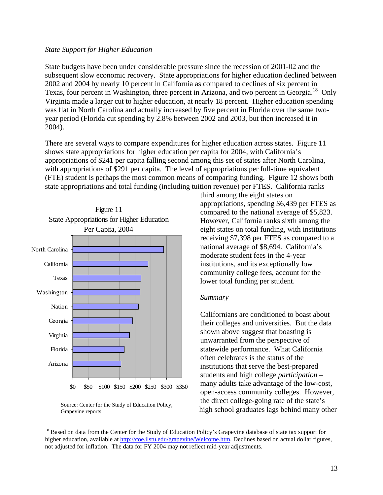#### *State Support for Higher Education*

State budgets have been under considerable pressure since the recession of 2001-02 and the subsequent slow economic recovery. State appropriations for higher education declined between 2002 and 2004 by nearly 10 percent in California as compared to declines of six percent in Texas, four percent in Washington, three percent in Arizona, and two percent in Georgia.<sup>18</sup> Only Virginia made a larger cut to higher education, at nearly 18 percent. Higher education spending was flat in North Carolina and actually increased by five percent in Florida over the same twoyear period (Florida cut spending by 2.8% between 2002 and 2003, but then increased it in 2004).

There are several ways to compare expenditures for higher education across states. Figure 11 shows state appropriations for higher education per capita for 2004, with California's appropriations of \$241 per capita falling second among this set of states after North Carolina, with appropriations of \$291 per capita. The level of appropriations per full-time equivalent (FTE) student is perhaps the most common means of comparing funding. Figure 12 shows both state appropriations and total funding (including tuition revenue) per FTES. California ranks



Source: Center for the Study of Education Policy, Grapevine reports

 $\overline{a}$ 

third among the eight states on appropriations, spending \$6,439 per FTES as compared to the national average of \$5,823. However, California ranks sixth among the eight states on total funding, with institutions receiving \$7,398 per FTES as compared to a national average of \$8,694. California's moderate student fees in the 4-year institutions, and its exceptionally low community college fees, account for the lower total funding per student.

#### *Summary*

Californians are conditioned to boast about their colleges and universities. But the data shown above suggest that boasting is unwarranted from the perspective of statewide performance. What California often celebrates is the status of the institutions that serve the best-prepared students and high college *participation* – many adults take advantage of the low-cost, open-access community colleges. However, the direct college-going rate of the state's high school graduates lags behind many other

<sup>&</sup>lt;sup>18</sup> Based on data from the Center for the Study of Education Policy's Grapevine database of state tax support for higher education, available at http://coe.ilstu.edu/grapevine/Welcome.htm. Declines based on actual dollar figures, not adjusted for inflation. The data for FY 2004 may not reflect mid-year adjustments.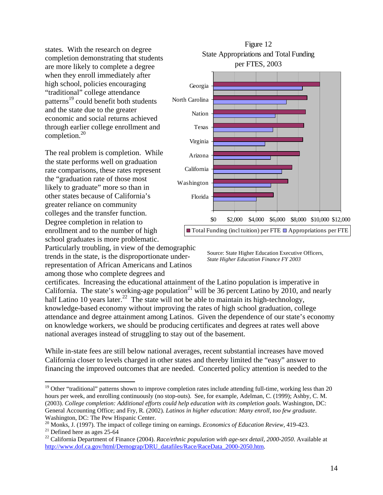states. With the research on degree completion demonstrating that students are more likely to complete a degree when they enroll immediately after high school, policies encouraging "traditional" college attendance patterns<sup>19</sup> could benefit both students and the state due to the greater economic and social returns achieved through earlier college enrollment and completion.20

The real problem is completion. While the state performs well on graduation rate comparisons, these rates represent the "graduation rate of those most likely to graduate" more so than in other states because of California's greater reliance on community colleges and the transfer function. Degree completion in relation to enrollment and to the number of high school graduates is more problematic.





Source: State Higher Education Executive Officers, *State Higher Education Finance FY 2003*

certificates. Increasing the educational attainment of the Latino population is imperative in California. The state's working-age population<sup>21</sup> will be 36 percent Latino by 2010, and nearly half Latino 10 years later.<sup>22</sup> The state will not be able to maintain its high-technology, knowledge-based economy without improving the rates of high school graduation, college attendance and degree attainment among Latinos. Given the dependence of our state's economy on knowledge workers, we should be producing certificates and degrees at rates well above national averages instead of struggling to stay out of the basement.

While in-state fees are still below national averages, recent substantial increases have moved California closer to levels charged in other states and thereby limited the "easy" answer to financing the improved outcomes that are needed. Concerted policy attention is needed to the

 $\overline{a}$ 

<sup>&</sup>lt;sup>19</sup> Other "traditional" patterns shown to improve completion rates include attending full-time, working less than 20 hours per week, and enrolling continuously (no stop-outs). See, for example, Adelman, C. (1999); Ashby, C. M. (2003). *College completion: Additional efforts could help education with its completion goals*. Washington, DC: General Accounting Office; and Fry, R. (2002). *Latinos in higher education: Many enroll, too few graduate*. Washington, DC: The Pew Hispanic Center.

<sup>&</sup>lt;sup>20</sup> Monks, J. (1997). The impact of college timing on earnings. *Economics of Education Review*, 419-423.<br><sup>21</sup> Defined here as ages 25-64

<sup>&</sup>lt;sup>22</sup> California Department of Finance (2004). *Race/ethnic population with age-sex detail*, 2000-2050. Available at http://www.dof.ca.gov/html/Demograp/DRU\_datafiles/Race/RaceData\_2000-2050.htm.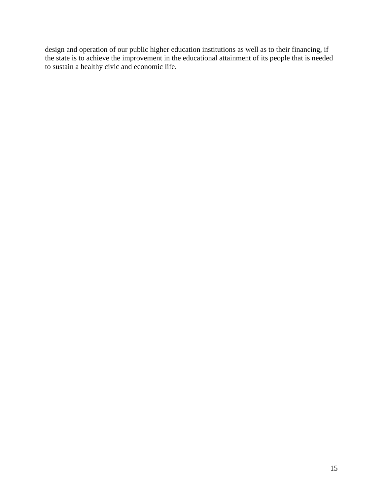design and operation of our public higher education institutions as well as to their financing, if the state is to achieve the improvement in the educational attainment of its people that is needed to sustain a healthy civic and economic life.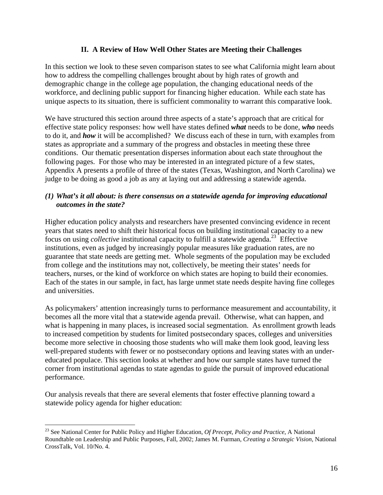# **II. A Review of How Well Other States are Meeting their Challenges**

In this section we look to these seven comparison states to see what California might learn about how to address the compelling challenges brought about by high rates of growth and demographic change in the college age population, the changing educational needs of the workforce, and declining public support for financing higher education. While each state has unique aspects to its situation, there is sufficient commonality to warrant this comparative look.

We have structured this section around three aspects of a state's approach that are critical for effective state policy responses: how well have states defined *what* needs to be done, *who* needs to do it, and *how* it will be accomplished? We discuss each of these in turn, with examples from states as appropriate and a summary of the progress and obstacles in meeting these three conditions. Our thematic presentation disperses information about each state throughout the following pages. For those who may be interested in an integrated picture of a few states, Appendix A presents a profile of three of the states (Texas, Washington, and North Carolina) we judge to be doing as good a job as any at laying out and addressing a statewide agenda.

#### *(1) What's it all about: is there consensus on a statewide agenda for improving educational outcomes in the state?*

Higher education policy analysts and researchers have presented convincing evidence in recent years that states need to shift their historical focus on building institutional capacity to a new focus on using *collective* institutional capacity to fulfill a statewide agenda.<sup>23</sup> Effective institutions, even as judged by increasingly popular measures like graduation rates, are no guarantee that state needs are getting met. Whole segments of the population may be excluded from college and the institutions may not, collectively, be meeting their states' needs for teachers, nurses, or the kind of workforce on which states are hoping to build their economies. Each of the states in our sample, in fact, has large unmet state needs despite having fine colleges and universities.

As policymakers' attention increasingly turns to performance measurement and accountability, it becomes all the more vital that a statewide agenda prevail. Otherwise, what can happen, and what is happening in many places, is increased social segmentation. As enrollment growth leads to increased competition by students for limited postsecondary spaces, colleges and universities become more selective in choosing those students who will make them look good, leaving less well-prepared students with fewer or no postsecondary options and leaving states with an undereducated populace. This section looks at whether and how our sample states have turned the corner from institutional agendas to state agendas to guide the pursuit of improved educational performance.

Our analysis reveals that there are several elements that foster effective planning toward a statewide policy agenda for higher education:

 $\overline{a}$ 

<sup>23</sup> See National Center for Public Policy and Higher Education, *Of Precept, Policy and Practice*, A National Roundtable on Leadership and Public Purposes, Fall, 2002; James M. Furman, *Creating a Strategic Vision*, National CrossTalk, Vol. 10/No. 4.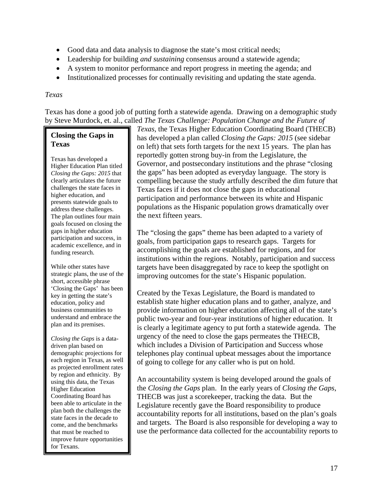- Good data and data analysis to diagnose the state's most critical needs;
- Leadership for building *and sustaining* consensus around a statewide agenda;
- A system to monitor performance and report progress in meeting the agenda; and
- Institutionalized processes for continually revisiting and updating the state agenda.

#### *Texas*

Texas has done a good job of putting forth a statewide agenda. Drawing on a demographic study by Steve Murdock, et. al., called *The Texas Challenge: Population Change and the Future of* 

# **Closing the Gaps in Texas**

Texas has developed a Higher Education Plan titled *Closing the Gaps: 2015* that clearly articulates the future challenges the state faces in higher education, and presents statewide goals to address these challenges. The plan outlines four main goals focused on closing the gaps in higher education participation and success, in academic excellence, and in funding research.

While other states have strategic plans, the use of the short, accessible phrase 'Closing the Gaps' has been key in getting the state's education, policy and business communities to understand and embrace the plan and its premises.

*Closing the Gaps* is a datadriven plan based on demographic projections for each region in Texas, as well as projected enrollment rates by region and ethnicity. By using this data, the Texas Higher Education Coordinating Board has been able to articulate in the plan both the challenges the state faces in the decade to come, and the benchmarks that must be reached to improve future opportunities for Texans.

*Texas,* the Texas Higher Education Coordinating Board (THECB) has developed a plan called *Closing the Gaps: 2015* (see sidebar on left) that sets forth targets for the next 15 years. The plan has reportedly gotten strong buy-in from the Legislature, the Governor, and postsecondary institutions and the phrase "closing the gaps" has been adopted as everyday language. The story is compelling because the study artfully described the dim future that Texas faces if it does not close the gaps in educational participation and performance between its white and Hispanic populations as the Hispanic population grows dramatically over the next fifteen years.

The "closing the gaps" theme has been adapted to a variety of goals, from participation gaps to research gaps. Targets for accomplishing the goals are established for regions, and for institutions within the regions. Notably, participation and success targets have been disaggregated by race to keep the spotlight on improving outcomes for the state's Hispanic population.

Created by the Texas Legislature, the Board is mandated to establish state higher education plans and to gather, analyze, and provide information on higher education affecting all of the state's public two-year and four-year institutions of higher education. It is clearly a legitimate agency to put forth a statewide agenda. The urgency of the need to close the gaps permeates the THECB, which includes a Division of Participation and Success whose telephones play continual upbeat messages about the importance of going to college for any caller who is put on hold.

An accountability system is being developed around the goals of the *Closing the Gaps* plan. In the early years of *Closing the Gaps*, THECB was just a scorekeeper, tracking the data. But the Legislature recently gave the Board responsibility to produce accountability reports for all institutions, based on the plan's goals and targets. The Board is also responsible for developing a way to use the performance data collected for the accountability reports to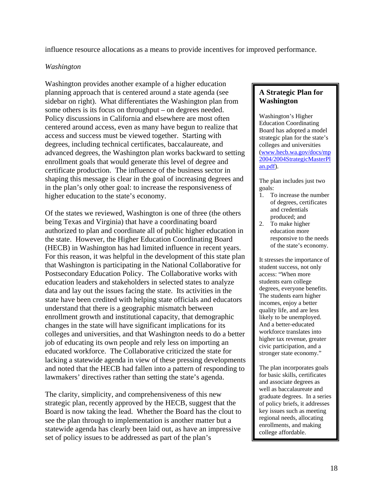influence resource allocations as a means to provide incentives for improved performance.

#### *Washington*

Washington provides another example of a higher education planning approach that is centered around a state agenda (see sidebar on right). What differentiates the Washington plan from some others is its focus on throughput – on degrees needed. Policy discussions in California and elsewhere are most often centered around access, even as many have begun to realize that access and success must be viewed together. Starting with degrees, including technical certificates, baccalaureate, and advanced degrees, the Washington plan works backward to setting enrollment goals that would generate this level of degree and certificate production. The influence of the business sector in shaping this message is clear in the goal of increasing degrees and in the plan's only other goal: to increase the responsiveness of higher education to the state's economy.

Of the states we reviewed, Washington is one of three (the others being Texas and Virginia) that have a coordinating board authorized to plan and coordinate all of public higher education in the state. However, the Higher Education Coordinating Board (HECB) in Washington has had limited influence in recent years. For this reason, it was helpful in the development of this state plan that Washington is participating in the National Collaborative for Postsecondary Education Policy. The Collaborative works with education leaders and stakeholders in selected states to analyze data and lay out the issues facing the state. Its activities in the state have been credited with helping state officials and educators understand that there is a geographic mismatch between enrollment growth and institutional capacity, that demographic changes in the state will have significant implications for its colleges and universities, and that Washington needs to do a better job of educating its own people and rely less on importing an educated workforce. The Collaborative criticized the state for lacking a statewide agenda in view of these pressing developments and noted that the HECB had fallen into a pattern of responding to lawmakers' directives rather than setting the state's agenda.

The clarity, simplicity, and comprehensiveness of this new strategic plan, recently approved by the HECB, suggest that the Board is now taking the lead. Whether the Board has the clout to see the plan through to implementation is another matter but a statewide agenda has clearly been laid out, as have an impressive set of policy issues to be addressed as part of the plan's

#### **A Strategic Plan for Washington**

Washington's Higher Education Coordinating Board has adopted a model strategic plan for the state's colleges and universities (www.hecb.wa.gov/docs/mp 2004/2004StrategicMasterPl an.pdf).

The plan includes just two goals:

- 1. To increase the number of degrees, certificates and credentials produced; and
- 2. To make higher education more responsive to the needs of the state's economy.

It stresses the importance of student success, not only access: "When more students earn college degrees, everyone benefits. The students earn higher incomes, enjoy a better quality life, and are less likely to be unemployed. And a better-educated workforce translates into higher tax revenue, greater civic participation, and a stronger state economy."

The plan incorporates goals for basic skills, certificates and associate degrees as well as baccalaureate and graduate degrees. In a series of policy briefs, it addresses key issues such as meeting regional needs, allocating enrollments, and making college affordable.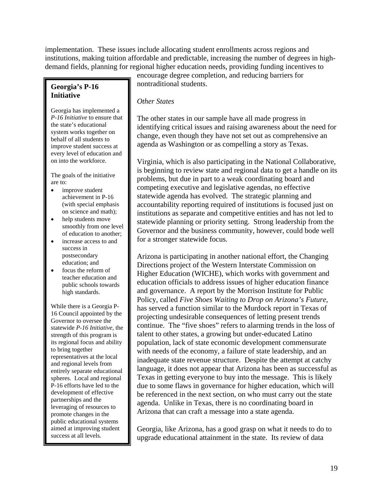implementation. These issues include allocating student enrollments across regions and institutions, making tuition affordable and predictable, increasing the number of degrees in highdemand fields, planning for regional higher education needs, providing funding incentives to

#### **Georgia's P-16 Initiative**

Georgia has implemented a *P-16 Initiative* to ensure that the state's educational system works together on behalf of all students to improve student success at every level of education and on into the workforce.

The goals of the initiative are to:

- improve student achievement in P-16 (with special emphasis on science and math);
- help students move smoothly from one level of education to another;
- increase access to and success in postsecondary education; and
- focus the reform of teacher education and public schools towards high standards.

While there is a Georgia P-16 Council appointed by the Governor to oversee the statewide *P-16 Initiative*, the strength of this program is its regional focus and ability to bring together representatives at the local and regional levels from entirely separate educational spheres. Local and regional P-16 efforts have led to the development of effective partnerships and the leveraging of resources to promote changes in the public educational systems aimed at improving student success at all levels.

encourage degree completion, and reducing barriers for nontraditional students.

# *Other States*

The other states in our sample have all made progress in identifying critical issues and raising awareness about the need for change, even though they have not set out as comprehensive an agenda as Washington or as compelling a story as Texas.

Virginia, which is also participating in the National Collaborative, is beginning to review state and regional data to get a handle on its problems, but due in part to a weak coordinating board and competing executive and legislative agendas, no effective statewide agenda has evolved. The strategic planning and accountability reporting required of institutions is focused just on institutions as separate and competitive entities and has not led to statewide planning or priority setting. Strong leadership from the Governor and the business community, however, could bode well for a stronger statewide focus.

Arizona is participating in another national effort, the Changing Directions project of the Western Interstate Commission on Higher Education (WICHE), which works with government and education officials to address issues of higher education finance and governance. A report by the Morrison Institute for Public Policy, called *Five Shoes Waiting to Drop on Arizona's Future,* has served a function similar to the Murdock report in Texas of projecting undesirable consequences of letting present trends continue. The "five shoes" refers to alarming trends in the loss of talent to other states, a growing but under-educated Latino population, lack of state economic development commensurate with needs of the economy, a failure of state leadership, and an inadequate state revenue structure. Despite the attempt at catchy language, it does not appear that Arizona has been as successful as Texas in getting everyone to buy into the message. This is likely due to some flaws in governance for higher education, which will be referenced in the next section, on who must carry out the state agenda. Unlike in Texas, there is no coordinating board in Arizona that can craft a message into a state agenda.

Georgia, like Arizona, has a good grasp on what it needs to do to upgrade educational attainment in the state. Its review of data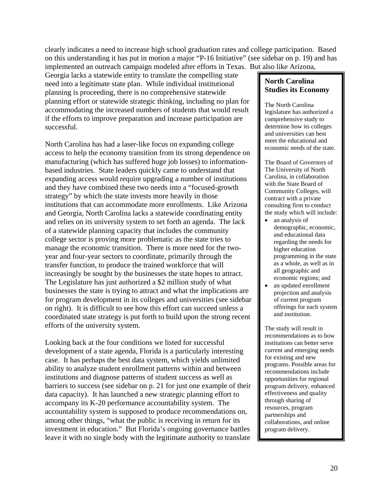clearly indicates a need to increase high school graduation rates and college participation. Based on this understanding it has put in motion a major "P-16 Initiative" (see sidebar on p. 19) and has implemented an outreach campaign modeled after efforts in Texas. But also like Arizona,

Georgia lacks a statewide entity to translate the compelling state need into a legitimate state plan. While individual institutional planning is proceeding, there is no comprehensive statewide planning effort or statewide strategic thinking, including no plan for accommodating the increased numbers of students that would result if the efforts to improve preparation and increase participation are successful.

North Carolina has had a laser-like focus on expanding college access to help the economy transition from its strong dependence on manufacturing (which has suffered huge job losses) to informationbased industries. State leaders quickly came to understand that expanding access would require upgrading a number of institutions and they have combined these two needs into a "focused-growth strategy" by which the state invests more heavily in those institutions that can accommodate more enrollments. Like Arizona and Georgia, North Carolina lacks a statewide coordinating entity and relies on its university system to set forth an agenda. The lack of a statewide planning capacity that includes the community college sector is proving more problematic as the state tries to manage the economic transition. There is more need for the twoyear and four-year sectors to coordinate, primarily through the transfer function, to produce the trained workforce that will increasingly be sought by the businesses the state hopes to attract. The Legislature has just authorized a \$2 million study of what businesses the state is trying to attract and what the implications are for program development in its colleges and universities (see sidebar on right). It is difficult to see how this effort can succeed unless a coordinated state strategy is put forth to build upon the strong recent efforts of the university system.

Looking back at the four conditions we listed for successful development of a state agenda, Florida is a particularly interesting case. It has perhaps the best data system, which yields unlimited ability to analyze student enrollment patterns within and between institutions and diagnose patterns of student success as well as barriers to success (see sidebar on p. 21 for just one example of their data capacity). It has launched a new strategic planning effort to accompany its K-20 performance accountability system. The accountability system is supposed to produce recommendations on, among other things, "what the public is receiving in return for its investment in education." But Florida's ongoing governance battles leave it with no single body with the legitimate authority to translate

**North Carolina Studies its Economy** 

The North Carolina legislature has authorized a comprehensive study to determine how its colleges and universities can best meet the educational and economic needs of the state.

The Board of Governors of The University of North Carolina, in collaboration with the State Board of Community Colleges, will contract with a private consulting firm to conduct the study which will include:

- an analysis of demographic, economic, and educational data regarding the needs for higher education programming in the state as a whole, as well as in all geographic and economic regions; and
- an updated enrollment projection and analysis of current program offerings for each system and institution.

The study will result in recommendations as to how institutions can better serve current and emerging needs for existing and new programs. Possible areas for recommendations include opportunities for regional program delivery, enhanced effectiveness and quality through sharing of resources, program partnerships and collaborations, and online program delivery.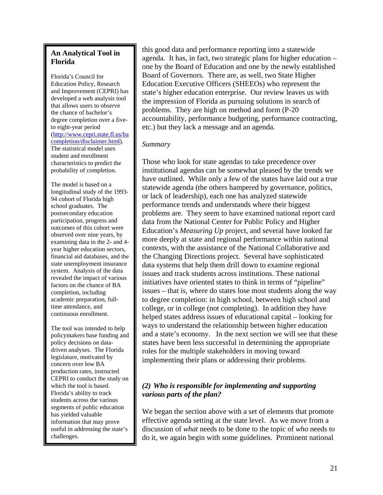# **An Analytical Tool in Florida**

Florida's Council for Education Policy, Research and Improvement (CEPRI) has developed a web analysis tool that allows users to observe the chance of bachelor's degree completion over a fiveto eight-year period (http://www.cepri.state.fl.us/ba completion/disclaimer.html). The statistical model uses student and enrollment characteristics to predict the probability of completion.

The model is based on a longitudinal study of the 1993- 94 cohort of Florida high school graduates. The postsecondary education participation, progress and outcomes of this cohort were observed over nine years, by examining data in the 2- and 4 year higher education sectors, financial aid databases, and the state unemployment insurance system. Analysis of the data revealed the impact of various factors on the chance of BA completion, including academic preparation, fulltime attendance, and continuous enrollment.

The tool was intended to help policymakers base funding and policy decisions on datadriven analyses. The Florida legislature, motivated by concern over low BA production rates, instructed CEPRI to conduct the study on which the tool is based. Florida's ability to track students across the various segments of public education has yielded valuable information that may prove useful in addressing the state's challenges.

this good data and performance reporting into a statewide agenda. It has, in fact, two strategic plans for higher education – one by the Board of Education and one by the newly established Board of Governors. There are, as well, two State Higher Education Executive Officers (SHEEOs) who represent the state's higher education enterprise. Our review leaves us with the impression of Florida as pursuing solutions in search of problems. They are high on method and form (P-20 accountability, performance budgeting, performance contracting, etc.) but they lack a message and an agenda.

# *Summary*

Those who look for state agendas to take precedence over institutional agendas can be somewhat pleased by the trends we have outlined. While only a few of the states have laid out a true statewide agenda (the others hampered by governance, politics, or lack of leadership), each one has analyzed statewide performance trends and understands where their biggest problems are. They seem to have examined national report card data from the National Center for Public Policy and Higher Education's *Measuring Up* project, and several have looked far more deeply at state and regional performance within national contexts, with the assistance of the National Collaborative and the Changing Directions project. Several have sophisticated data systems that help them drill down to examine regional issues and track students across institutions. These national initiatives have oriented states to think in terms of "pipeline" issues – that is, where do states lose most students along the way to degree completion: in high school, between high school and college, or in college (not completing). In addition they have helped states address issues of educational capital – looking for ways to understand the relationship between higher education and a state's economy. In the next section we will see that these states have been less successful in determining the appropriate roles for the multiple stakeholders in moving toward implementing their plans or addressing their problems.

# *(2) Who is responsible for implementing and supporting various parts of the plan?*

We began the section above with a set of elements that promote effective agenda setting at the state level. As we move from a discussion of *what* needs to be done to the topic of *who* needs to do it, we again begin with some guidelines. Prominent national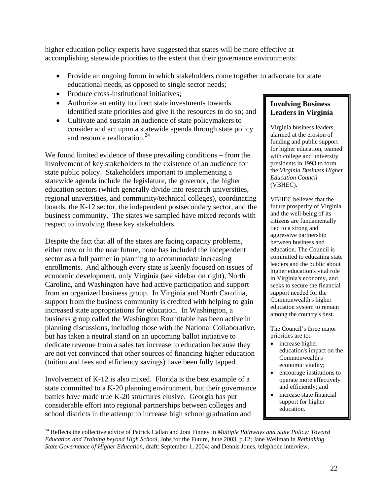higher education policy experts have suggested that states will be more effective at accomplishing statewide priorities to the extent that their governance environments:

- Provide an ongoing forum in which stakeholders come together to advocate for state educational needs, as opposed to single sector needs;
- Produce cross-institutional initiatives:
- Authorize an entity to direct state investments towards identified state priorities and give it the resources to do so; and
- Cultivate and sustain an audience of state policymakers to consider and act upon a statewide agenda through state policy and resource reallocation.<sup>24</sup>

We found limited evidence of these prevailing conditions – from the involvement of key stakeholders to the existence of an audience for state public policy. Stakeholders important to implementing a statewide agenda include the legislature, the governor, the higher education sectors (which generally divide into research universities, regional universities, and community/technical colleges), coordinating boards, the K-12 sector, the independent postsecondary sector, and the business community. The states we sampled have mixed records with respect to involving these key stakeholders.

Despite the fact that all of the states are facing capacity problems, either now or in the near future, none has included the independent sector as a full partner in planning to accommodate increasing enrollments. And although every state is keenly focused on issues of economic development, only Virginia (see sidebar on right), North Carolina, and Washington have had active participation and support from an organized business group. In Virginia and North Carolina, support from the business community is credited with helping to gain increased state appropriations for education. In Washington, a business group called the Washington Roundtable has been active in planning discussions, including those with the National Collaborative, but has taken a neutral stand on an upcoming ballot initiative to dedicate revenue from a sales tax increase to education because they are not yet convinced that other sources of financing higher education (tuition and fees and efficiency savings) have been fully tapped.

Involvement of K-12 is also mixed. Florida is the best example of a state committed to a K-20 planning environment, but their governance battles have made true K-20 structures elusive. Georgia has put considerable effort into regional partnerships between colleges and school districts in the attempt to increase high school graduation and

# **Involving Business Leaders in Virginia**

Virginia business leaders, alarmed at the erosion of funding and public support for higher education, teamed with college and university presidents in 1993 to form the *Virginia Business Higher Education Council*  (VBHEC).

VBHEC believes that the future prosperity of Virginia and the well-being of its citizens are fundamentally tied to a strong and aggressive partnership between business and education. The Council is committed to educating state leaders and the public about higher education's vital role in Virginia's economy, and seeks to secure the financial support needed for the Commonwealth's higher education system to remain among the country's best.

The Council's three major priorities are to:

- increase higher education's impact on the Commonwealth's economic vitality;
- encourage institutions to operate more effectively and efficiently; and
- increase state financial support for higher education.

 $\overline{a}$ 24 Reflects the collective advice of Patrick Callan and Joni Finney in *Multiple Pathways and State Policy: Toward Education and Training beyond High School*, Jobs for the Future, June 2003, p.12; Jane Wellman in *Rethinking State Governance of Higher Education*, draft: September 1, 2004; and Dennis Jones, telephone interview.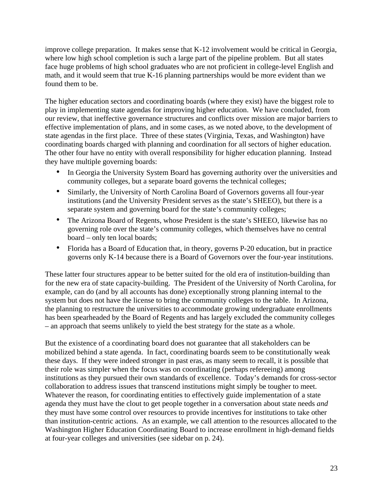improve college preparation. It makes sense that K-12 involvement would be critical in Georgia, where low high school completion is such a large part of the pipeline problem. But all states face huge problems of high school graduates who are not proficient in college-level English and math, and it would seem that true K-16 planning partnerships would be more evident than we found them to be.

The higher education sectors and coordinating boards (where they exist) have the biggest role to play in implementing state agendas for improving higher education. We have concluded, from our review, that ineffective governance structures and conflicts over mission are major barriers to effective implementation of plans, and in some cases, as we noted above, to the development of state agendas in the first place. Three of these states (Virginia, Texas, and Washington) have coordinating boards charged with planning and coordination for all sectors of higher education. The other four have no entity with overall responsibility for higher education planning. Instead they have multiple governing boards:

- In Georgia the University System Board has governing authority over the universities and community colleges, but a separate board governs the technical colleges;
- Similarly, the University of North Carolina Board of Governors governs all four-year institutions (and the University President serves as the state's SHEEO), but there is a separate system and governing board for the state's community colleges;
- The Arizona Board of Regents, whose President is the state's SHEEO, likewise has no governing role over the state's community colleges, which themselves have no central board – only ten local boards;
- Florida has a Board of Education that, in theory, governs P-20 education, but in practice governs only K-14 because there is a Board of Governors over the four-year institutions.

These latter four structures appear to be better suited for the old era of institution-building than for the new era of state capacity-building. The President of the University of North Carolina, for example, can do (and by all accounts has done) exceptionally strong planning internal to the system but does not have the license to bring the community colleges to the table. In Arizona, the planning to restructure the universities to accommodate growing undergraduate enrollments has been spearheaded by the Board of Regents and has largely excluded the community colleges – an approach that seems unlikely to yield the best strategy for the state as a whole.

But the existence of a coordinating board does not guarantee that all stakeholders can be mobilized behind a state agenda. In fact, coordinating boards seem to be constitutionally weak these days. If they were indeed stronger in past eras, as many seem to recall, it is possible that their role was simpler when the focus was on coordinating (perhaps refereeing) among institutions as they pursued their own standards of excellence. Today's demands for cross-sector collaboration to address issues that transcend institutions might simply be tougher to meet. Whatever the reason, for coordinating entities to effectively guide implementation of a state agenda they must have the clout to get people together in a conversation about state needs *and*  they must have some control over resources to provide incentives for institutions to take other than institution-centric actions. As an example, we call attention to the resources allocated to the Washington Higher Education Coordinating Board to increase enrollment in high-demand fields at four-year colleges and universities (see sidebar on p. 24).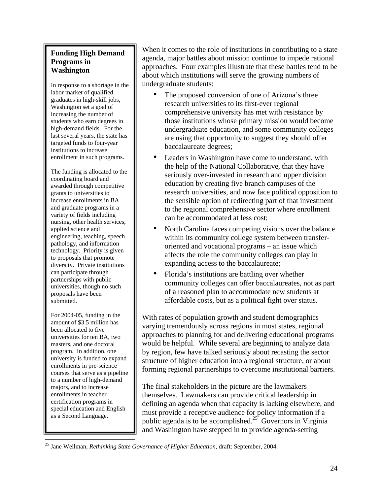# **Funding High Demand Programs in Washington**

In response to a shortage in the labor market of qualified graduates in high-skill jobs, Washington set a goal of increasing the number of students who earn degrees in high-demand fields. For the last several years, the state has targeted funds to four-year institutions to increase enrollment in such programs.

The funding is allocated to the coordinating board and awarded through competitive grants to universities to increase enrollments in BA and graduate programs in a variety of fields including nursing, other health services, applied science and engineering, teaching, speech pathology, and information technology. Priority is given to proposals that promote diversity. Private institutions can participate through partnerships with public universities, though no such proposals have been submitted.

For 2004-05, funding in the amount of \$3.5 million has been allocated to five universities for ten BA, two masters, and one doctoral program. In addition, one university is funded to expand enrollments in pre-science courses that serve as a pipeline to a number of high-demand majors, and to increase enrollments in teacher certification programs in special education and English as a Second Language.

<u>.</u>

When it comes to the role of institutions in contributing to a state agenda, major battles about mission continue to impede rational approaches. Four examples illustrate that these battles tend to be about which institutions will serve the growing numbers of undergraduate students:

- The proposed conversion of one of Arizona's three research universities to its first-ever regional comprehensive university has met with resistance by those institutions whose primary mission would become undergraduate education, and some community colleges are using that opportunity to suggest they should offer baccalaureate degrees;
- Leaders in Washington have come to understand, with the help of the National Collaborative, that they have seriously over-invested in research and upper division education by creating five branch campuses of the research universities, and now face political opposition to the sensible option of redirecting part of that investment to the regional comprehensive sector where enrollment can be accommodated at less cost;
- North Carolina faces competing visions over the balance within its community college system between transferoriented and vocational programs – an issue which affects the role the community colleges can play in expanding access to the baccalaureate;
- Florida's institutions are battling over whether community colleges can offer baccalaureates, not as part of a reasoned plan to accommodate new students at affordable costs, but as a political fight over status.

With rates of population growth and student demographics varying tremendously across regions in most states, regional approaches to planning for and delivering educational programs would be helpful. While several are beginning to analyze data by region, few have talked seriously about recasting the sector structure of higher education into a regional structure, or about forming regional partnerships to overcome institutional barriers.

The final stakeholders in the picture are the lawmakers themselves. Lawmakers can provide critical leadership in defining an agenda when that capacity is lacking elsewhere, and must provide a receptive audience for policy information if a public agenda is to be accomplished.<sup>25</sup> Governors in Virginia and Washington have stepped in to provide agenda-setting

<sup>25</sup> Jane Wellman, *Rethinking State Governance of Higher Education*, draft: September, 2004.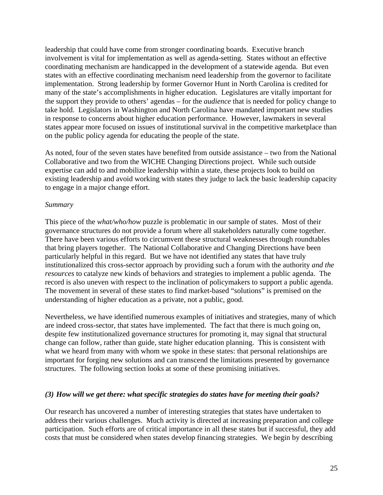leadership that could have come from stronger coordinating boards. Executive branch involvement is vital for implementation as well as agenda-setting. States without an effective coordinating mechanism are handicapped in the development of a statewide agenda. But even states with an effective coordinating mechanism need leadership from the governor to facilitate implementation. Strong leadership by former Governor Hunt in North Carolina is credited for many of the state's accomplishments in higher education. Legislatures are vitally important for the support they provide to others' agendas – for the *audience* that is needed for policy change to take hold. Legislators in Washington and North Carolina have mandated important new studies in response to concerns about higher education performance. However, lawmakers in several states appear more focused on issues of institutional survival in the competitive marketplace than on the public policy agenda for educating the people of the state.

As noted, four of the seven states have benefited from outside assistance – two from the National Collaborative and two from the WICHE Changing Directions project. While such outside expertise can add to and mobilize leadership within a state, these projects look to build on existing leadership and avoid working with states they judge to lack the basic leadership capacity to engage in a major change effort.

#### *Summary*

This piece of the *what/who/how* puzzle is problematic in our sample of states. Most of their governance structures do not provide a forum where all stakeholders naturally come together. There have been various efforts to circumvent these structural weaknesses through roundtables that bring players together. The National Collaborative and Changing Directions have been particularly helpful in this regard. But we have not identified any states that have truly institutionalized this cross-sector approach by providing such a forum with the authority *and the resources* to catalyze new kinds of behaviors and strategies to implement a public agenda. The record is also uneven with respect to the inclination of policymakers to support a public agenda. The movement in several of these states to find market-based "solutions" is premised on the understanding of higher education as a private, not a public, good.

Nevertheless, we have identified numerous examples of initiatives and strategies, many of which are indeed cross-sector, that states have implemented. The fact that there is much going on, despite few institutionalized governance structures for promoting it, may signal that structural change can follow, rather than guide, state higher education planning. This is consistent with what we heard from many with whom we spoke in these states: that personal relationships are important for forging new solutions and can transcend the limitations presented by governance structures. The following section looks at some of these promising initiatives.

#### *(3) How will we get there: what specific strategies do states have for meeting their goals?*

Our research has uncovered a number of interesting strategies that states have undertaken to address their various challenges. Much activity is directed at increasing preparation and college participation. Such efforts are of critical importance in all these states but if successful, they add costs that must be considered when states develop financing strategies. We begin by describing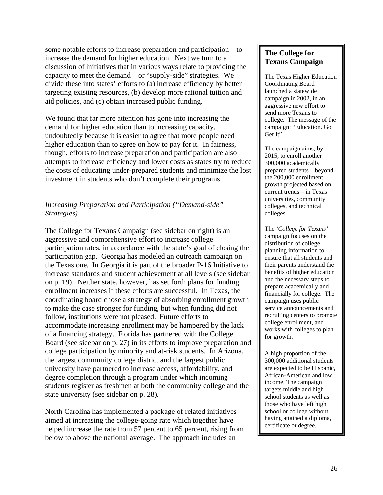some notable efforts to increase preparation and participation – to increase the demand for higher education. Next we turn to a discussion of initiatives that in various ways relate to providing the capacity to meet the demand – or "supply-side" strategies. We divide these into states' efforts to (a) increase efficiency by better targeting existing resources, (b) develop more rational tuition and aid policies, and (c) obtain increased public funding.

We found that far more attention has gone into increasing the demand for higher education than to increasing capacity, undoubtedly because it is easier to agree that more people need higher education than to agree on how to pay for it. In fairness, though, efforts to increase preparation and participation are also attempts to increase efficiency and lower costs as states try to reduce the costs of educating under-prepared students and minimize the lost investment in students who don't complete their programs.

# *Increasing Preparation and Participation ("Demand-side" Strategies)*

The College for Texans Campaign (see sidebar on right) is an aggressive and comprehensive effort to increase college participation rates, in accordance with the state's goal of closing the participation gap. Georgia has modeled an outreach campaign on the Texas one. In Georgia it is part of the broader P-16 Initiative to increase standards and student achievement at all levels (see sidebar on p. 19). Neither state, however, has set forth plans for funding enrollment increases if these efforts are successful. In Texas, the coordinating board chose a strategy of absorbing enrollment growth to make the case stronger for funding, but when funding did not follow, institutions were not pleased. Future efforts to accommodate increasing enrollment may be hampered by the lack of a financing strategy. Florida has partnered with the College Board (see sidebar on p. 27) in its efforts to improve preparation and college participation by minority and at-risk students. In Arizona, the largest community college district and the largest public university have partnered to increase access, affordability, and degree completion through a program under which incoming students register as freshmen at both the community college and the state university (see sidebar on p. 28).

North Carolina has implemented a package of related initiatives aimed at increasing the college-going rate which together have helped increase the rate from 57 percent to 65 percent, rising from below to above the national average. The approach includes an

# **The College for Texans Campaign**

The Texas Higher Education Coordinating Board launched a statewide campaign in 2002, in an aggressive new effort to send more Texans to college. The message of the campaign: "Education. Go Get It".

The campaign aims, by 2015, to enroll another 300,000 academically prepared students – beyond the 200,000 enrollment growth projected based on current trends – in Texas universities, community colleges, and technical colleges.

The *'College for Texans'* campaign focuses on the distribution of college planning information to ensure that all students and their parents understand the benefits of higher education and the necessary steps to prepare academically and financially for college. The campaign uses public service announcements and recruiting centers to promote college enrollment, and works with colleges to plan for growth.

A high proportion of the 300,000 additional students are expected to be Hispanic, African-American and low income. The campaign targets middle and high school students as well as those who have left high school or college without having attained a diploma, certificate or degree.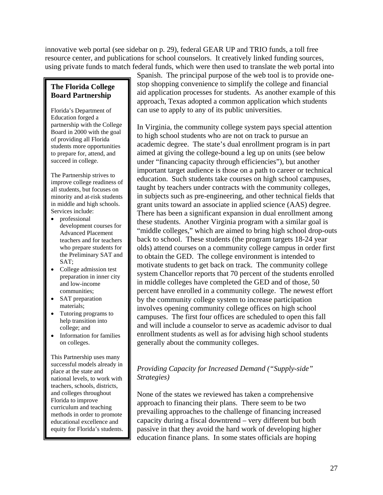innovative web portal (see sidebar on p. 29), federal GEAR UP and TRIO funds, a toll free resource center, and publications for school counselors. It creatively linked funding sources, using private funds to match federal funds, which were then used to translate the web portal into

# **The Florida College Board Partnership**

Florida's Department of Education forged a partnership with the College Board in 2000 with the goal of providing all Florida students more opportunities to prepare for, attend, and succeed in college.

The Partnership strives to improve college readiness of all students, but focuses on minority and at-risk students in middle and high schools. Services include:

- professional development courses for Advanced Placement teachers and for teachers who prepare students for the Preliminary SAT and SAT;
- College admission test preparation in inner city and low-income communities;
- SAT preparation materials;
- Tutoring programs to help transition into college; and
- Information for families on colleges.

This Partnership uses many successful models already in place at the state and national levels, to work with teachers, schools, districts, and colleges throughout Florida to improve curriculum and teaching methods in order to promote educational excellence and equity for Florida's students. Spanish. The principal purpose of the web tool is to provide onestop shopping convenience to simplify the college and financial aid application processes for students. As another example of this approach, Texas adopted a common application which students can use to apply to any of its public universities.

In Virginia, the community college system pays special attention to high school students who are not on track to pursue an academic degree. The state's dual enrollment program is in part aimed at giving the college-bound a leg up on units (see below under "financing capacity through efficiencies"), but another important target audience is those on a path to career or technical education. Such students take courses on high school campuses, taught by teachers under contracts with the community colleges, in subjects such as pre-engineering, and other technical fields that grant units toward an associate in applied science (AAS) degree. There has been a significant expansion in dual enrollment among these students. Another Virginia program with a similar goal is "middle colleges," which are aimed to bring high school drop-outs back to school. These students (the program targets 18-24 year olds) attend courses on a community college campus in order first to obtain the GED. The college environment is intended to motivate students to get back on track. The community college system Chancellor reports that 70 percent of the students enrolled in middle colleges have completed the GED and of those, 50 percent have enrolled in a community college. The newest effort by the community college system to increase participation involves opening community college offices on high school campuses. The first four offices are scheduled to open this fall and will include a counselor to serve as academic advisor to dual enrollment students as well as for advising high school students generally about the community colleges.

# *Providing Capacity for Increased Demand ("Supply-side" Strategies)*

None of the states we reviewed has taken a comprehensive approach to financing their plans. There seem to be two prevailing approaches to the challenge of financing increased capacity during a fiscal downtrend – very different but both passive in that they avoid the hard work of developing higher education finance plans. In some states officials are hoping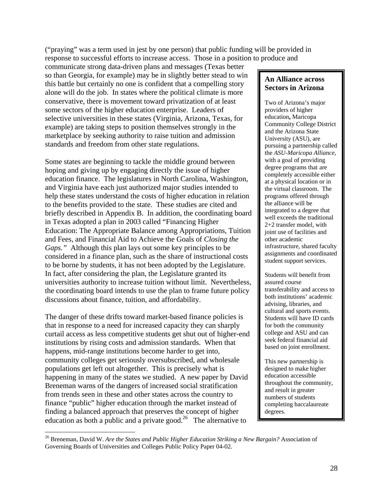("praying" was a term used in jest by one person) that public funding will be provided in response to successful efforts to increase access. Those in a position to produce and

communicate strong data-driven plans and messages (Texas better so than Georgia, for example) may be in slightly better stead to win this battle but certainly no one is confident that a compelling story alone will do the job. In states where the political climate is more conservative, there is movement toward privatization of at least some sectors of the higher education enterprise. Leaders of selective universities in these states (Virginia, Arizona, Texas, for example) are taking steps to position themselves strongly in the marketplace by seeking authority to raise tuition and admission standards and freedom from other state regulations.

Some states are beginning to tackle the middle ground between hoping and giving up by engaging directly the issue of higher education finance. The legislatures in North Carolina, Washington, and Virginia have each just authorized major studies intended to help these states understand the costs of higher education in relation to the benefits provided to the state. These studies are cited and briefly described in Appendix B. In addition, the coordinating board in Texas adopted a plan in 2003 called "Financing Higher Education: The Appropriate Balance among Appropriations, Tuition and Fees, and Financial Aid to Achieve the Goals of *Closing the Gaps."* Although this plan lays out some key principles to be considered in a finance plan, such as the share of instructional costs to be borne by students, it has not been adopted by the Legislature. In fact, after considering the plan, the Legislature granted its universities authority to increase tuition without limit. Nevertheless, the coordinating board intends to use the plan to frame future policy discussions about finance, tuition, and affordability.

The danger of these drifts toward market-based finance policies is that in response to a need for increased capacity they can sharply curtail access as less competitive students get shut out of higher-end institutions by rising costs and admission standards. When that happens, mid-range institutions become harder to get into, community colleges get seriously oversubscribed, and wholesale populations get left out altogether. This is precisely what is happening in many of the states we studied. A new paper by David Breneman warns of the dangers of increased social stratification from trends seen in these and other states across the country to finance "public" higher education through the market instead of finding a balanced approach that preserves the concept of higher education as both a public and a private good.<sup>26</sup> The alternative to

 $\overline{a}$ 

# **An Alliance across Sectors in Arizona**

Two of Arizona's major providers of higher education**,** Maricopa Community College District and the Arizona State University (ASU), are pursuing a partnership called the *ASU-Maricopa Alliance,* with a goal of providing degree programs that are completely accessible either at a physical location or in the virtual classroom. The programs offered through the alliance will be integrated to a degree that well exceeds the traditional 2+2 transfer model, with joint use of facilities and other academic infrastructure, shared faculty assignments and coordinated student support services.

Students will benefit from assured course transferability and access to both institutions' academic advising, libraries, and cultural and sports events. Students will have ID cards for both the community college and ASU and can seek federal financial aid based on joint enrollment.

This new partnership is designed to make higher education accessible throughout the community, and result in greater numbers of students completing baccalaureate degrees.

<sup>26</sup> Breneman, David W. *Are the States and Public Higher Education Striking a New Bargain?* Association of Governing Boards of Universities and Colleges Public Policy Paper 04-02.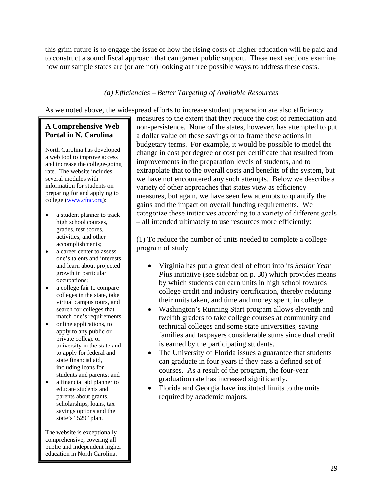this grim future is to engage the issue of how the rising costs of higher education will be paid and to construct a sound fiscal approach that can garner public support. These next sections examine how our sample states are (or are not) looking at three possible ways to address these costs.

# *(a) Efficiencies – Better Targeting of Available Resources*

As we noted above, the widespread efforts to increase student preparation are also efficiency

# **A Comprehensive Web Portal in N. Carolina**

North Carolina has developed a web tool to improve access and increase the college-going rate. The website includes several modules with information for students on preparing for and applying to college (www.cfnc.org):

- a student planner to track high school courses, grades, test scores, activities, and other accomplishments;
- a career center to assess one's talents and interests and learn about projected growth in particular occupations;
- a college fair to compare colleges in the state, take virtual campus tours, and search for colleges that match one's requirements;
- online applications, to apply to any public or private college or university in the state and to apply for federal and state financial aid, including loans for students and parents; and
- a financial aid planner to educate students and parents about grants, scholarships, loans, tax savings options and the state's "529" plan.

The website is exceptionally comprehensive, covering all public and independent higher education in North Carolina.

measures to the extent that they reduce the cost of remediation and non-persistence. None of the states, however, has attempted to put a dollar value on these savings or to frame these actions in budgetary terms. For example, it would be possible to model the change in cost per degree or cost per certificate that resulted from improvements in the preparation levels of students, and to extrapolate that to the overall costs and benefits of the system, but we have not encountered any such attempts. Below we describe a variety of other approaches that states view as efficiency measures, but again, we have seen few attempts to quantify the gains and the impact on overall funding requirements. We categorize these initiatives according to a variety of different goals – all intended ultimately to use resources more efficiently:

(1) To reduce the number of units needed to complete a college program of study

- Virginia has put a great deal of effort into its *Senior Year Plus* initiative (see sidebar on p. 30) which provides means by which students can earn units in high school towards college credit and industry certification, thereby reducing their units taken, and time and money spent, in college.
- Washington's Running Start program allows eleventh and twelfth graders to take college courses at community and technical colleges and some state universities, saving families and taxpayers considerable sums since dual credit is earned by the participating students.
- The University of Florida issues a guarantee that students can graduate in four years if they pass a defined set of courses. As a result of the program, the four-year graduation rate has increased significantly.
- Florida and Georgia have instituted limits to the units required by academic majors.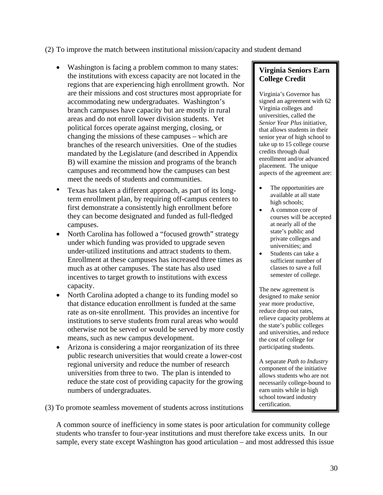#### (2) To improve the match between institutional mission/capacity and student demand

- Washington is facing a problem common to many states: the institutions with excess capacity are not located in the regions that are experiencing high enrollment growth. Nor are their missions and cost structures most appropriate for accommodating new undergraduates. Washington's branch campuses have capacity but are mostly in rural areas and do not enroll lower division students. Yet political forces operate against merging, closing, or changing the missions of these campuses – which are branches of the research universities. One of the studies mandated by the Legislature (and described in Appendix B) will examine the mission and programs of the branch campuses and recommend how the campuses can best meet the needs of students and communities.
- Texas has taken a different approach, as part of its longterm enrollment plan, by requiring off-campus centers to first demonstrate a consistently high enrollment before they can become designated and funded as full-fledged campuses.
- North Carolina has followed a "focused growth" strategy under which funding was provided to upgrade seven under-utilized institutions and attract students to them. Enrollment at these campuses has increased three times as much as at other campuses. The state has also used incentives to target growth to institutions with excess capacity.
- North Carolina adopted a change to its funding model so that distance education enrollment is funded at the same rate as on-site enrollment. This provides an incentive for institutions to serve students from rural areas who would otherwise not be served or would be served by more costly means, such as new campus development.
- Arizona is considering a major reorganization of its three public research universities that would create a lower-cost regional university and reduce the number of research universities from three to two. The plan is intended to reduce the state cost of providing capacity for the growing numbers of undergraduates.

(3) To promote seamless movement of students across institutions

# A common source of inefficiency in some states is poor articulation for community college students who transfer to four-year institutions and must therefore take excess units. In our sample, every state except Washington has good articulation – and most addressed this issue

# **Virginia Seniors Earn College Credit**

Virginia's Governor has signed an agreement with 62 Virginia colleges and universities, called the *Senior Year Plus* initiative*,* that allows students in their senior year of high school to take up to 15 college course credits through dual enrollment and/or advanced placement. The unique aspects of the agreement are:

- The opportunities are available at all state high schools;
- A common core of courses will be accepted at nearly all of the state's public and private colleges and universities; and
- Students can take a sufficient number of classes to save a full semester of college.

The new agreement is designed to make senior year more productive, reduce drop out rates, relieve capacity problems at the state's public colleges and universities, and reduce the cost of college for participating students.

A separate *Path to Industry* component of the initiative allows students who are not necessarily college-bound to earn units while in high school toward industry certification.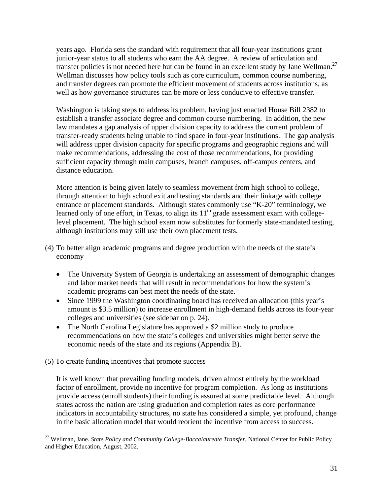years ago. Florida sets the standard with requirement that all four-year institutions grant junior-year status to all students who earn the AA degree. A review of articulation and transfer policies is not needed here but can be found in an excellent study by Jane Wellman.<sup>27</sup> Wellman discusses how policy tools such as core curriculum, common course numbering, and transfer degrees can promote the efficient movement of students across institutions, as well as how governance structures can be more or less conducive to effective transfer.

Washington is taking steps to address its problem, having just enacted House Bill 2382 to establish a transfer associate degree and common course numbering. In addition, the new law mandates a gap analysis of upper division capacity to address the current problem of transfer-ready students being unable to find space in four-year institutions. The gap analysis will address upper division capacity for specific programs and geographic regions and will make recommendations, addressing the cost of those recommendations, for providing sufficient capacity through main campuses, branch campuses, off-campus centers, and distance education.

More attention is being given lately to seamless movement from high school to college, through attention to high school exit and testing standards and their linkage with college entrance or placement standards. Although states commonly use "K-20" terminology, we learned only of one effort, in Texas, to align its  $11<sup>th</sup>$  grade assessment exam with collegelevel placement. The high school exam now substitutes for formerly state-mandated testing, although institutions may still use their own placement tests.

- (4) To better align academic programs and degree production with the needs of the state's economy
	- The University System of Georgia is undertaking an assessment of demographic changes and labor market needs that will result in recommendations for how the system's academic programs can best meet the needs of the state.
	- Since 1999 the Washington coordinating board has received an allocation (this year's amount is \$3.5 million) to increase enrollment in high-demand fields across its four-year colleges and universities (see sidebar on p. 24).
	- The North Carolina Legislature has approved a \$2 million study to produce recommendations on how the state's colleges and universities might better serve the economic needs of the state and its regions (Appendix B).
- (5) To create funding incentives that promote success

 $\overline{a}$ 

It is well known that prevailing funding models, driven almost entirely by the workload factor of enrollment, provide no incentive for program completion. As long as institutions provide access (enroll students) their funding is assured at some predictable level. Although states across the nation are using graduation and completion rates as core performance indicators in accountability structures, no state has considered a simple, yet profound, change in the basic allocation model that would reorient the incentive from access to success.

<sup>27</sup> Wellman, Jane. *State Policy and Community College-Baccalaureate Transfer*, National Center for Public Policy and Higher Education, August, 2002.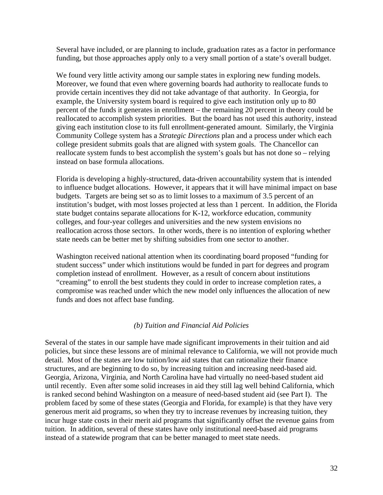Several have included, or are planning to include, graduation rates as a factor in performance funding, but those approaches apply only to a very small portion of a state's overall budget.

We found very little activity among our sample states in exploring new funding models. Moreover, we found that even where governing boards had authority to reallocate funds to provide certain incentives they did not take advantage of that authority. In Georgia, for example, the University system board is required to give each institution only up to 80 percent of the funds it generates in enrollment – the remaining 20 percent in theory could be reallocated to accomplish system priorities. But the board has not used this authority, instead giving each institution close to its full enrollment-generated amount. Similarly, the Virginia Community College system has a *Strategic Directions* plan and a process under which each college president submits goals that are aligned with system goals. The Chancellor can reallocate system funds to best accomplish the system's goals but has not done so – relying instead on base formula allocations.

Florida is developing a highly-structured, data-driven accountability system that is intended to influence budget allocations. However, it appears that it will have minimal impact on base budgets. Targets are being set so as to limit losses to a maximum of 3.5 percent of an institution's budget, with most losses projected at less than 1 percent. In addition, the Florida state budget contains separate allocations for K-12, workforce education, community colleges, and four-year colleges and universities and the new system envisions no reallocation across those sectors. In other words, there is no intention of exploring whether state needs can be better met by shifting subsidies from one sector to another.

Washington received national attention when its coordinating board proposed "funding for student success" under which institutions would be funded in part for degrees and program completion instead of enrollment. However, as a result of concern about institutions "creaming" to enroll the best students they could in order to increase completion rates, a compromise was reached under which the new model only influences the allocation of new funds and does not affect base funding.

#### *(b) Tuition and Financial Aid Policies*

Several of the states in our sample have made significant improvements in their tuition and aid policies, but since these lessons are of minimal relevance to California, we will not provide much detail. Most of the states are low tuition/low aid states that can rationalize their finance structures, and are beginning to do so, by increasing tuition and increasing need-based aid. Georgia, Arizona, Virginia, and North Carolina have had virtually no need-based student aid until recently. Even after some solid increases in aid they still lag well behind California, which is ranked second behind Washington on a measure of need-based student aid (see Part I). The problem faced by some of these states (Georgia and Florida, for example) is that they have very generous merit aid programs, so when they try to increase revenues by increasing tuition, they incur huge state costs in their merit aid programs that significantly offset the revenue gains from tuition. In addition, several of these states have only institutional need-based aid programs instead of a statewide program that can be better managed to meet state needs.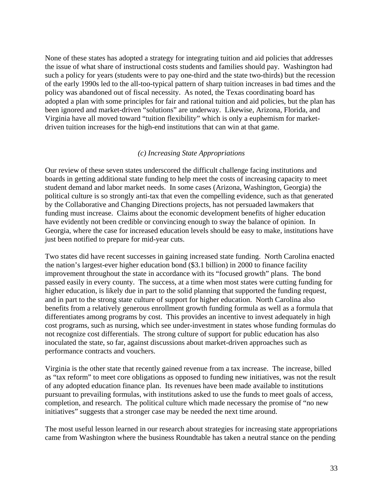None of these states has adopted a strategy for integrating tuition and aid policies that addresses the issue of what share of instructional costs students and families should pay. Washington had such a policy for years (students were to pay one-third and the state two-thirds) but the recession of the early 1990s led to the all-too-typical pattern of sharp tuition increases in bad times and the policy was abandoned out of fiscal necessity. As noted, the Texas coordinating board has adopted a plan with some principles for fair and rational tuition and aid policies, but the plan has been ignored and market-driven "solutions" are underway. Likewise, Arizona, Florida, and Virginia have all moved toward "tuition flexibility" which is only a euphemism for marketdriven tuition increases for the high-end institutions that can win at that game.

#### *(c) Increasing State Appropriations*

Our review of these seven states underscored the difficult challenge facing institutions and boards in getting additional state funding to help meet the costs of increasing capacity to meet student demand and labor market needs. In some cases (Arizona, Washington, Georgia) the political culture is so strongly anti-tax that even the compelling evidence, such as that generated by the Collaborative and Changing Directions projects, has not persuaded lawmakers that funding must increase. Claims about the economic development benefits of higher education have evidently not been credible or convincing enough to sway the balance of opinion. In Georgia, where the case for increased education levels should be easy to make, institutions have just been notified to prepare for mid-year cuts.

Two states did have recent successes in gaining increased state funding. North Carolina enacted the nation's largest-ever higher education bond (\$3.1 billion) in 2000 to finance facility improvement throughout the state in accordance with its "focused growth" plans. The bond passed easily in every county. The success, at a time when most states were cutting funding for higher education, is likely due in part to the solid planning that supported the funding request, and in part to the strong state culture of support for higher education. North Carolina also benefits from a relatively generous enrollment growth funding formula as well as a formula that differentiates among programs by cost. This provides an incentive to invest adequately in high cost programs, such as nursing, which see under-investment in states whose funding formulas do not recognize cost differentials. The strong culture of support for public education has also inoculated the state, so far, against discussions about market-driven approaches such as performance contracts and vouchers.

Virginia is the other state that recently gained revenue from a tax increase. The increase, billed as "tax reform" to meet core obligations as opposed to funding new initiatives, was not the result of any adopted education finance plan. Its revenues have been made available to institutions pursuant to prevailing formulas, with institutions asked to use the funds to meet goals of access, completion, and research. The political culture which made necessary the promise of "no new initiatives" suggests that a stronger case may be needed the next time around.

The most useful lesson learned in our research about strategies for increasing state appropriations came from Washington where the business Roundtable has taken a neutral stance on the pending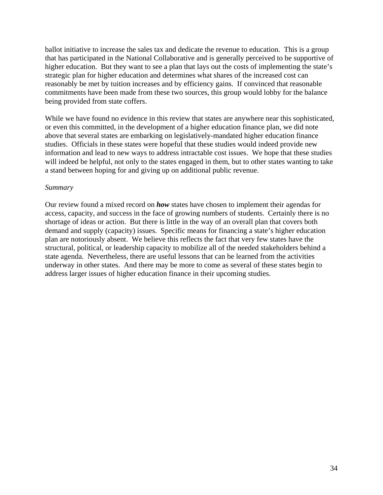ballot initiative to increase the sales tax and dedicate the revenue to education. This is a group that has participated in the National Collaborative and is generally perceived to be supportive of higher education. But they want to see a plan that lays out the costs of implementing the state's strategic plan for higher education and determines what shares of the increased cost can reasonably be met by tuition increases and by efficiency gains. If convinced that reasonable commitments have been made from these two sources, this group would lobby for the balance being provided from state coffers.

While we have found no evidence in this review that states are anywhere near this sophisticated, or even this committed, in the development of a higher education finance plan, we did note above that several states are embarking on legislatively-mandated higher education finance studies. Officials in these states were hopeful that these studies would indeed provide new information and lead to new ways to address intractable cost issues. We hope that these studies will indeed be helpful, not only to the states engaged in them, but to other states wanting to take a stand between hoping for and giving up on additional public revenue.

#### *Summary*

Our review found a mixed record on *how* states have chosen to implement their agendas for access, capacity, and success in the face of growing numbers of students. Certainly there is no shortage of ideas or action. But there is little in the way of an overall plan that covers both demand and supply (capacity) issues. Specific means for financing a state's higher education plan are notoriously absent. We believe this reflects the fact that very few states have the structural, political, or leadership capacity to mobilize all of the needed stakeholders behind a state agenda. Nevertheless, there are useful lessons that can be learned from the activities underway in other states. And there may be more to come as several of these states begin to address larger issues of higher education finance in their upcoming studies.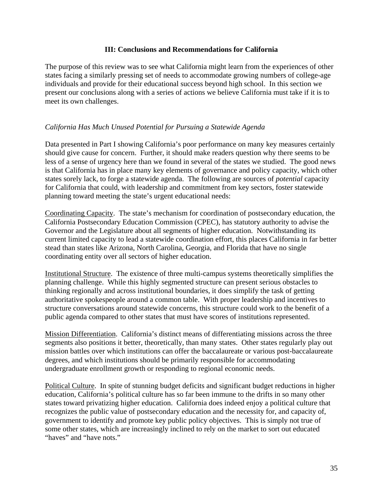#### **III: Conclusions and Recommendations for California**

The purpose of this review was to see what California might learn from the experiences of other states facing a similarly pressing set of needs to accommodate growing numbers of college-age individuals and provide for their educational success beyond high school. In this section we present our conclusions along with a series of actions we believe California must take if it is to meet its own challenges.

# *California Has Much Unused Potential for Pursuing a Statewide Agenda*

Data presented in Part I showing California's poor performance on many key measures certainly should give cause for concern. Further, it should make readers question why there seems to be less of a sense of urgency here than we found in several of the states we studied. The good news is that California has in place many key elements of governance and policy capacity, which other states sorely lack, to forge a statewide agenda. The following are sources of *potential* capacity for California that could, with leadership and commitment from key sectors, foster statewide planning toward meeting the state's urgent educational needs:

Coordinating Capacity. The state's mechanism for coordination of postsecondary education, the California Postsecondary Education Commission (CPEC), has statutory authority to advise the Governor and the Legislature about all segments of higher education. Notwithstanding its current limited capacity to lead a statewide coordination effort, this places California in far better stead than states like Arizona, North Carolina, Georgia, and Florida that have no single coordinating entity over all sectors of higher education.

Institutional Structure. The existence of three multi-campus systems theoretically simplifies the planning challenge. While this highly segmented structure can present serious obstacles to thinking regionally and across institutional boundaries, it does simplify the task of getting authoritative spokespeople around a common table. With proper leadership and incentives to structure conversations around statewide concerns, this structure could work to the benefit of a public agenda compared to other states that must have scores of institutions represented.

Mission Differentiation. California's distinct means of differentiating missions across the three segments also positions it better, theoretically, than many states. Other states regularly play out mission battles over which institutions can offer the baccalaureate or various post-baccalaureate degrees, and which institutions should be primarily responsible for accommodating undergraduate enrollment growth or responding to regional economic needs.

Political Culture. In spite of stunning budget deficits and significant budget reductions in higher education, California's political culture has so far been immune to the drifts in so many other states toward privatizing higher education. California does indeed enjoy a political culture that recognizes the public value of postsecondary education and the necessity for, and capacity of, government to identify and promote key public policy objectives. This is simply not true of some other states, which are increasingly inclined to rely on the market to sort out educated "haves" and "have nots."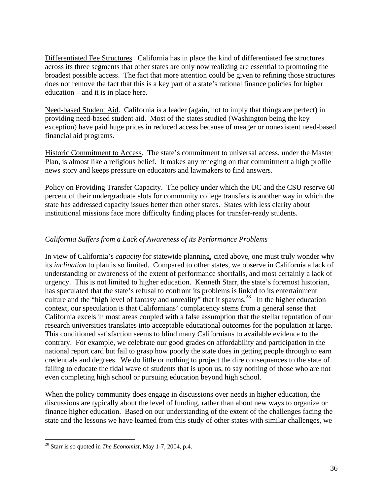Differentiated Fee Structures. California has in place the kind of differentiated fee structures across its three segments that other states are only now realizing are essential to promoting the broadest possible access. The fact that more attention could be given to refining those structures does not remove the fact that this is a key part of a state's rational finance policies for higher education – and it is in place here.

Need-based Student Aid. California is a leader (again, not to imply that things are perfect) in providing need-based student aid. Most of the states studied (Washington being the key exception) have paid huge prices in reduced access because of meager or nonexistent need-based financial aid programs.

Historic Commitment to Access. The state's commitment to universal access, under the Master Plan, is almost like a religious belief. It makes any reneging on that commitment a high profile news story and keeps pressure on educators and lawmakers to find answers.

Policy on Providing Transfer Capacity. The policy under which the UC and the CSU reserve 60 percent of their undergraduate slots for community college transfers is another way in which the state has addressed capacity issues better than other states. States with less clarity about institutional missions face more difficulty finding places for transfer-ready students.

# *California Suffers from a Lack of Awareness of its Performance Problems*

In view of California's *capacity* for statewide planning, cited above, one must truly wonder why its *inclination* to plan is so limited. Compared to other states, we observe in California a lack of understanding or awareness of the extent of performance shortfalls, and most certainly a lack of urgency. This is not limited to higher education. Kenneth Starr, the state's foremost historian, has speculated that the state's refusal to confront its problems is linked to its entertainment culture and the "high level of fantasy and unreality" that it spawns.<sup>28</sup> In the higher education context, our speculation is that Californians' complacency stems from a general sense that California excels in most areas coupled with a false assumption that the stellar reputation of our research universities translates into acceptable educational outcomes for the population at large. This conditioned satisfaction seems to blind many Californians to available evidence to the contrary. For example, we celebrate our good grades on affordability and participation in the national report card but fail to grasp how poorly the state does in getting people through to earn credentials and degrees. We do little or nothing to project the dire consequences to the state of failing to educate the tidal wave of students that is upon us, to say nothing of those who are not even completing high school or pursuing education beyond high school.

When the policy community does engage in discussions over needs in higher education, the discussions are typically about the level of funding, rather than about new ways to organize or finance higher education. Based on our understanding of the extent of the challenges facing the state and the lessons we have learned from this study of other states with similar challenges, we

 $\overline{a}$ 

<sup>28</sup> Starr is so quoted in *The Economist*, May 1-7, 2004, p.4.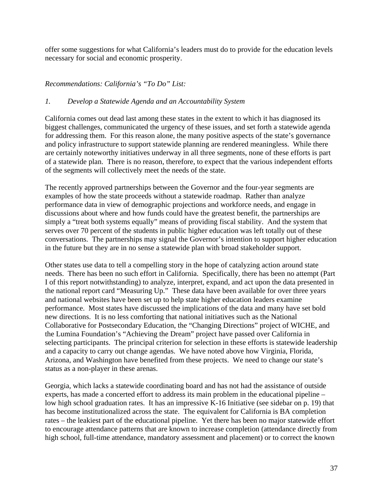offer some suggestions for what California's leaders must do to provide for the education levels necessary for social and economic prosperity.

# *Recommendations: California's "To Do" List:*

#### *1. Develop a Statewide Agenda and an Accountability System*

California comes out dead last among these states in the extent to which it has diagnosed its biggest challenges, communicated the urgency of these issues, and set forth a statewide agenda for addressing them. For this reason alone, the many positive aspects of the state's governance and policy infrastructure to support statewide planning are rendered meaningless. While there are certainly noteworthy initiatives underway in all three segments, none of these efforts is part of a statewide plan. There is no reason, therefore, to expect that the various independent efforts of the segments will collectively meet the needs of the state.

The recently approved partnerships between the Governor and the four-year segments are examples of how the state proceeds without a statewide roadmap. Rather than analyze performance data in view of demographic projections and workforce needs, and engage in discussions about where and how funds could have the greatest benefit, the partnerships are simply a "treat both systems equally" means of providing fiscal stability. And the system that serves over 70 percent of the students in public higher education was left totally out of these conversations. The partnerships may signal the Governor's intention to support higher education in the future but they are in no sense a statewide plan with broad stakeholder support.

Other states use data to tell a compelling story in the hope of catalyzing action around state needs. There has been no such effort in California. Specifically, there has been no attempt (Part I of this report notwithstanding) to analyze, interpret, expand, and act upon the data presented in the national report card "Measuring Up." These data have been available for over three years and national websites have been set up to help state higher education leaders examine performance. Most states have discussed the implications of the data and many have set bold new directions. It is no less comforting that national initiatives such as the National Collaborative for Postsecondary Education, the "Changing Directions" project of WICHE, and the Lumina Foundation's "Achieving the Dream" project have passed over California in selecting participants. The principal criterion for selection in these efforts is statewide leadership and a capacity to carry out change agendas. We have noted above how Virginia, Florida, Arizona, and Washington have benefited from these projects. We need to change our state's status as a non-player in these arenas.

Georgia, which lacks a statewide coordinating board and has not had the assistance of outside experts, has made a concerted effort to address its main problem in the educational pipeline – low high school graduation rates. It has an impressive K-16 Initiative (see sidebar on p. 19) that has become institutionalized across the state. The equivalent for California is BA completion rates – the leakiest part of the educational pipeline. Yet there has been no major statewide effort to encourage attendance patterns that are known to increase completion (attendance directly from high school, full-time attendance, mandatory assessment and placement) or to correct the known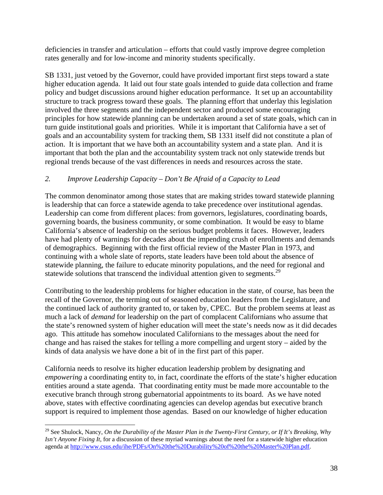deficiencies in transfer and articulation – efforts that could vastly improve degree completion rates generally and for low-income and minority students specifically.

SB 1331, just vetoed by the Governor, could have provided important first steps toward a state higher education agenda. It laid out four state goals intended to guide data collection and frame policy and budget discussions around higher education performance. It set up an accountability structure to track progress toward these goals. The planning effort that underlay this legislation involved the three segments and the independent sector and produced some encouraging principles for how statewide planning can be undertaken around a set of state goals, which can in turn guide institutional goals and priorities. While it is important that California have a set of goals and an accountability system for tracking them, SB 1331 itself did not constitute a plan of action. It is important that we have both an accountability system and a state plan. And it is important that both the plan and the accountability system track not only statewide trends but regional trends because of the vast differences in needs and resources across the state.

# *2. Improve Leadership Capacity – Don't Be Afraid of a Capacity to Lead*

The common denominator among those states that are making strides toward statewide planning is leadership that can force a statewide agenda to take precedence over institutional agendas. Leadership can come from different places: from governors, legislatures, coordinating boards, governing boards, the business community, or some combination. It would be easy to blame California's absence of leadership on the serious budget problems it faces. However, leaders have had plenty of warnings for decades about the impending crush of enrollments and demands of demographics. Beginning with the first official review of the Master Plan in 1973, and continuing with a whole slate of reports, state leaders have been told about the absence of statewide planning, the failure to educate minority populations, and the need for regional and statewide solutions that transcend the individual attention given to segments.<sup>29</sup>

Contributing to the leadership problems for higher education in the state, of course, has been the recall of the Governor, the terming out of seasoned education leaders from the Legislature, and the continued lack of authority granted to, or taken by, CPEC. But the problem seems at least as much a lack of *demand* for leadership on the part of complacent Californians who assume that the state's renowned system of higher education will meet the state's needs now as it did decades ago. This attitude has somehow inoculated Californians to the messages about the need for change and has raised the stakes for telling a more compelling and urgent story – aided by the kinds of data analysis we have done a bit of in the first part of this paper.

California needs to resolve its higher education leadership problem by designating and *empowering* a coordinating entity to, in fact, coordinate the efforts of the state's higher education entities around a state agenda. That coordinating entity must be made more accountable to the executive branch through strong gubernatorial appointments to its board. As we have noted above, states with effective coordinating agencies can develop agendas but executive branch support is required to implement those agendas. Based on our knowledge of higher education

 $\overline{a}$ 

<sup>29</sup> See Shulock, Nancy, *On the Durability of the Master Plan in the Twenty-First Century, or If It's Breaking, Why Isn't Anyone Fixing It*, for a discussion of these myriad warnings about the need for a statewide higher education agenda at http://www.csus.edu/ihe/PDFs/On%20the%20Durability%20of%20the%20Master%20Plan.pdf.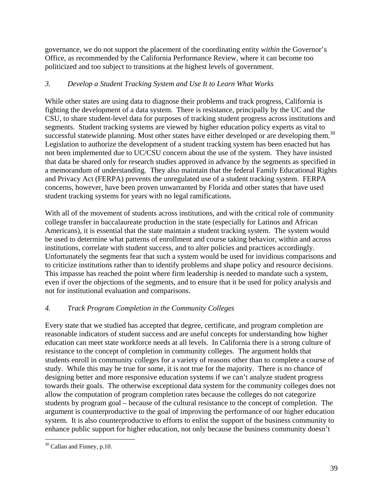governance, we do not support the placement of the coordinating entity *within* the Governor's Office, as recommended by the California Performance Review, where it can become too politicized and too subject to transitions at the highest levels of government.

# *3. Develop a Student Tracking System and Use It to Learn What Works*

While other states are using data to diagnose their problems and track progress, California is fighting the development of a data system. There is resistance, principally by the UC and the CSU, to share student-level data for purposes of tracking student progress across institutions and segments. Student tracking systems are viewed by higher education policy experts as vital to successful statewide planning. Most other states have either developed or are developing them.<sup>30</sup> Legislation to authorize the development of a student tracking system has been enacted but has not been implemented due to UC/CSU concern about the use of the system. They have insisted that data be shared only for research studies approved in advance by the segments as specified in a memorandum of understanding. They also maintain that the federal Family Educational Rights and Privacy Act (FERPA) prevents the unregulated use of a student tracking system. FERPA concerns, however, have been proven unwarranted by Florida and other states that have used student tracking systems for years with no legal ramifications.

With all of the movement of students across institutions, and with the critical role of community college transfer in baccalaureate production in the state (especially for Latinos and African Americans), it is essential that the state maintain a student tracking system. The system would be used to determine what patterns of enrollment and course taking behavior, within and across institutions, correlate with student success, and to alter policies and practices accordingly. Unfortunately the segments fear that such a system would be used for invidious comparisons and to criticize institutions rather than to identify problems and shape policy and resource decisions. This impasse has reached the point where firm leadership is needed to mandate such a system, even if over the objections of the segments, and to ensure that it be used for policy analysis and not for institutional evaluation and comparisons.

# *4. Track Program Completion in the Community Colleges*

Every state that we studied has accepted that degree, certificate, and program completion are reasonable indicators of student success and are useful concepts for understanding how higher education can meet state workforce needs at all levels. In California there is a strong culture of resistance to the concept of completion in community colleges. The argument holds that students enroll in community colleges for a variety of reasons other than to complete a course of study. While this may be true for some, it is not true for the majority. There is no chance of designing better and more responsive education systems if we can't analyze student progress towards their goals. The otherwise exceptional data system for the community colleges does not allow the computation of program completion rates because the colleges do not categorize students by program goal – because of the cultural resistance to the concept of completion. The argument is counterproductive to the goal of improving the performance of our higher education system. It is also counterproductive to efforts to enlist the support of the business community to enhance public support for higher education, not only because the business community doesn't

 $\overline{a}$ <sup>30</sup> Callan and Finney, p.10.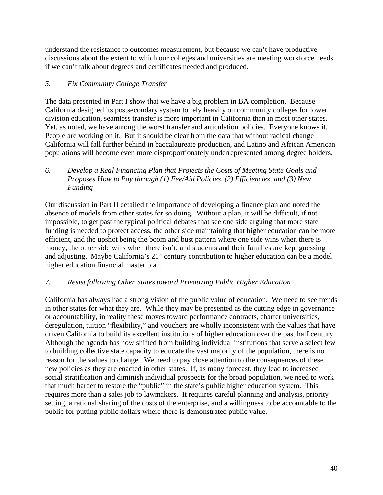understand the resistance to outcomes measurement, but because we can't have productive discussions about the extent to which our colleges and universities are meeting workforce needs if we can't talk about degrees and certificates needed and produced.

# *5. Fix Community College Transfer*

The data presented in Part I show that we have a big problem in BA completion. Because California designed its postsecondary system to rely heavily on community colleges for lower division education, seamless transfer is more important in California than in most other states. Yet, as noted, we have among the worst transfer and articulation policies. Everyone knows it. People are working on it. But it should be clear from the data that without radical change California will fall further behind in baccalaureate production, and Latino and African American populations will become even more disproportionately underrepresented among degree holders.

*6. Develop a Real Financing Plan that Projects the Costs of Meeting State Goals and Proposes How to Pay through (1) Fee/Aid Policies, (2) Efficiencies, and (3) New Funding* 

Our discussion in Part II detailed the importance of developing a finance plan and noted the absence of models from other states for so doing. Without a plan, it will be difficult, if not impossible, to get past the typical political debates that see one side arguing that more state funding is needed to protect access, the other side maintaining that higher education can be more efficient, and the upshot being the boom and bust pattern where one side wins when there is money, the other side wins when there isn't, and students and their families are kept guessing and adjusting. Maybe California's  $21<sup>st</sup>$  century contribution to higher education can be a model higher education financial master plan.

# *7. Resist following Other States toward Privatizing Public Higher Education*

California has always had a strong vision of the public value of education. We need to see trends in other states for what they are. While they may be presented as the cutting edge in governance or accountability, in reality these moves toward performance contracts, charter universities, deregulation, tuition "flexibility," and vouchers are wholly inconsistent with the values that have driven California to build its excellent institutions of higher education over the past half century. Although the agenda has now shifted from building individual institutions that serve a select few to building collective state capacity to educate the vast majority of the population, there is no reason for the values to change. We need to pay close attention to the consequences of these new policies as they are enacted in other states. If, as many forecast, they lead to increased social stratification and diminish individual prospects for the broad population, we need to work that much harder to restore the "public" in the state's public higher education system. This requires more than a sales job to lawmakers. It requires careful planning and analysis, priority setting, a rational sharing of the costs of the enterprise, and a willingness to be accountable to the public for putting public dollars where there is demonstrated public value.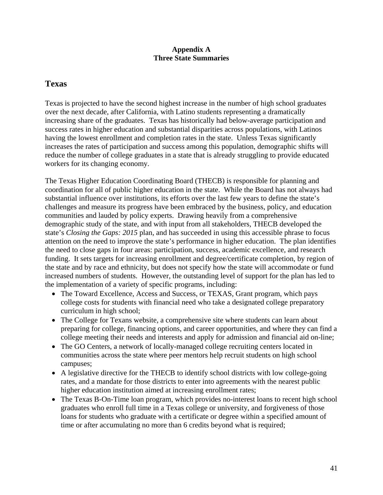#### **Appendix A Three State Summaries**

# **Texas**

Texas is projected to have the second highest increase in the number of high school graduates over the next decade, after California, with Latino students representing a dramatically increasing share of the graduates. Texas has historically had below-average participation and success rates in higher education and substantial disparities across populations, with Latinos having the lowest enrollment and completion rates in the state. Unless Texas significantly increases the rates of participation and success among this population, demographic shifts will reduce the number of college graduates in a state that is already struggling to provide educated workers for its changing economy.

The Texas Higher Education Coordinating Board (THECB) is responsible for planning and coordination for all of public higher education in the state. While the Board has not always had substantial influence over institutions, its efforts over the last few years to define the state's challenges and measure its progress have been embraced by the business, policy, and education communities and lauded by policy experts. Drawing heavily from a comprehensive demographic study of the state, and with input from all stakeholders, THECB developed the state's *Closing the Gaps: 2015* plan, and has succeeded in using this accessible phrase to focus attention on the need to improve the state's performance in higher education. The plan identifies the need to close gaps in four areas: participation, success, academic excellence, and research funding. It sets targets for increasing enrollment and degree/certificate completion, by region of the state and by race and ethnicity, but does not specify how the state will accommodate or fund increased numbers of students. However, the outstanding level of support for the plan has led to the implementation of a variety of specific programs, including:

- The Toward Excellence, Access and Success, or TEXAS, Grant program, which pays college costs for students with financial need who take a designated college preparatory curriculum in high school;
- The College for Texans website, a comprehensive site where students can learn about preparing for college, financing options, and career opportunities, and where they can find a college meeting their needs and interests and apply for admission and financial aid on-line;
- The GO Centers, a network of locally-managed college recruiting centers located in communities across the state where peer mentors help recruit students on high school campuses;
- A legislative directive for the THECB to identify school districts with low college-going rates, and a mandate for those districts to enter into agreements with the nearest public higher education institution aimed at increasing enrollment rates;
- The Texas B-On-Time loan program, which provides no-interest loans to recent high school graduates who enroll full time in a Texas college or university, and forgiveness of those loans for students who graduate with a certificate or degree within a specified amount of time or after accumulating no more than 6 credits beyond what is required;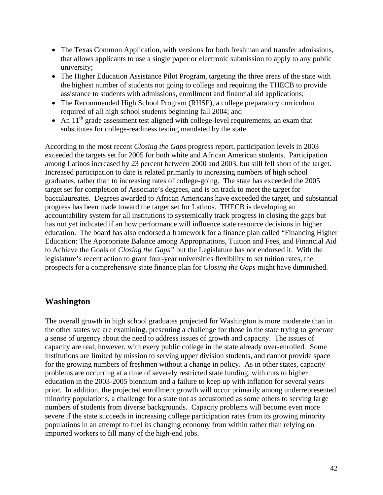- The Texas Common Application, with versions for both freshman and transfer admissions, that allows applicants to use a single paper or electronic submission to apply to any public university;
- The Higher Education Assistance Pilot Program, targeting the three areas of the state with the highest number of students not going to college and requiring the THECB to provide assistance to students with admissions, enrollment and financial aid applications;
- The Recommended High School Program (RHSP), a college preparatory curriculum required of all high school students beginning fall 2004; and
- An  $11<sup>th</sup>$  grade assessment test aligned with college-level requirements, an exam that substitutes for college-readiness testing mandated by the state.

According to the most recent *Closing the Gaps* progress report, participation levels in 2003 exceeded the targets set for 2005 for both white and African American students. Participation among Latinos increased by 23 percent between 2000 and 2003, but still fell short of the target. Increased participation to date is related primarily to increasing numbers of high school graduates, rather than to increasing rates of college-going. The state has exceeded the 2005 target set for completion of Associate's degrees, and is on track to meet the target for baccalaureates. Degrees awarded to African Americans have exceeded the target, and substantial progress has been made toward the target set for Latinos. THECB is developing an accountability system for all institutions to systemically track progress in closing the gaps but has not yet indicated if an how performance will influence state resource decisions in higher education. The board has also endorsed a framework for a finance plan called "Financing Higher Education: The Appropriate Balance among Appropriations, Tuition and Fees, and Financial Aid to Achieve the Goals of *Closing the Gaps"* but the Legislature has not endorsed it. With the legislature's recent action to grant four-year universities flexibility to set tuition rates, the prospects for a comprehensive state finance plan for *Closing the Gaps* might have diminished.

# **Washington**

The overall growth in high school graduates projected for Washington is more moderate than in the other states we are examining, presenting a challenge for those in the state trying to generate a sense of urgency about the need to address issues of growth and capacity. The issues of capacity are real, however, with every public college in the state already over-enrolled. Some institutions are limited by mission to serving upper division students, and cannot provide space for the growing numbers of freshmen without a change in policy. As in other states, capacity problems are occurring at a time of severely restricted state funding, with cuts to higher education in the 2003-2005 biennium and a failure to keep up with inflation for several years prior. In addition, the projected enrollment growth will occur primarily among underrepresented minority populations, a challenge for a state not as accustomed as some others to serving large numbers of students from diverse backgrounds. Capacity problems will become even more severe if the state succeeds in increasing college participation rates from its growing minority populations in an attempt to fuel its changing economy from within rather than relying on imported workers to fill many of the high-end jobs.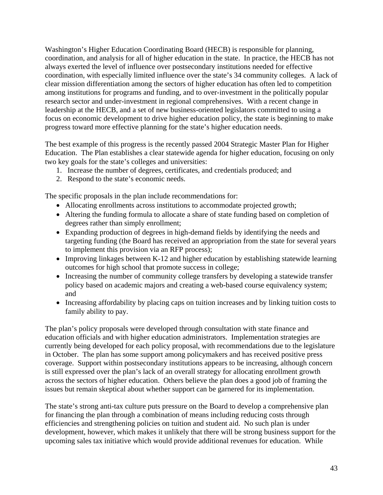Washington's Higher Education Coordinating Board (HECB) is responsible for planning, coordination, and analysis for all of higher education in the state. In practice, the HECB has not always exerted the level of influence over postsecondary institutions needed for effective coordination, with especially limited influence over the state's 34 community colleges. A lack of clear mission differentiation among the sectors of higher education has often led to competition among institutions for programs and funding, and to over-investment in the politically popular research sector and under-investment in regional comprehensives. With a recent change in leadership at the HECB, and a set of new business-oriented legislators committed to using a focus on economic development to drive higher education policy, the state is beginning to make progress toward more effective planning for the state's higher education needs.

The best example of this progress is the recently passed 2004 Strategic Master Plan for Higher Education. The Plan establishes a clear statewide agenda for higher education, focusing on only two key goals for the state's colleges and universities:

- 1. Increase the number of degrees, certificates, and credentials produced; and
- 2. Respond to the state's economic needs.

The specific proposals in the plan include recommendations for:

- Allocating enrollments across institutions to accommodate projected growth;
- Altering the funding formula to allocate a share of state funding based on completion of degrees rather than simply enrollment;
- Expanding production of degrees in high-demand fields by identifying the needs and targeting funding (the Board has received an appropriation from the state for several years to implement this provision via an RFP process);
- Improving linkages between K-12 and higher education by establishing statewide learning outcomes for high school that promote success in college;
- Increasing the number of community college transfers by developing a statewide transfer policy based on academic majors and creating a web-based course equivalency system; and
- Increasing affordability by placing caps on tuition increases and by linking tuition costs to family ability to pay.

The plan's policy proposals were developed through consultation with state finance and education officials and with higher education administrators. Implementation strategies are currently being developed for each policy proposal, with recommendations due to the legislature in October. The plan has some support among policymakers and has received positive press coverage. Support within postsecondary institutions appears to be increasing, although concern is still expressed over the plan's lack of an overall strategy for allocating enrollment growth across the sectors of higher education. Others believe the plan does a good job of framing the issues but remain skeptical about whether support can be garnered for its implementation.

The state's strong anti-tax culture puts pressure on the Board to develop a comprehensive plan for financing the plan through a combination of means including reducing costs through efficiencies and strengthening policies on tuition and student aid. No such plan is under development, however, which makes it unlikely that there will be strong business support for the upcoming sales tax initiative which would provide additional revenues for education. While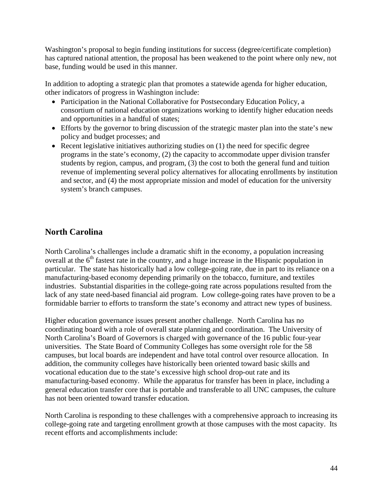Washington's proposal to begin funding institutions for success (degree/certificate completion) has captured national attention, the proposal has been weakened to the point where only new, not base, funding would be used in this manner.

In addition to adopting a strategic plan that promotes a statewide agenda for higher education, other indicators of progress in Washington include:

- Participation in the National Collaborative for Postsecondary Education Policy, a consortium of national education organizations working to identify higher education needs and opportunities in a handful of states;
- Efforts by the governor to bring discussion of the strategic master plan into the state's new policy and budget processes; and
- Recent legislative initiatives authorizing studies on (1) the need for specific degree programs in the state's economy, (2) the capacity to accommodate upper division transfer students by region, campus, and program, (3) the cost to both the general fund and tuition revenue of implementing several policy alternatives for allocating enrollments by institution and sector, and (4) the most appropriate mission and model of education for the university system's branch campuses.

# **North Carolina**

North Carolina's challenges include a dramatic shift in the economy, a population increasing overall at the  $6<sup>th</sup>$  fastest rate in the country, and a huge increase in the Hispanic population in particular. The state has historically had a low college-going rate, due in part to its reliance on a manufacturing-based economy depending primarily on the tobacco, furniture, and textiles industries. Substantial disparities in the college-going rate across populations resulted from the lack of any state need-based financial aid program. Low college-going rates have proven to be a formidable barrier to efforts to transform the state's economy and attract new types of business.

Higher education governance issues present another challenge. North Carolina has no coordinating board with a role of overall state planning and coordination. The University of North Carolina's Board of Governors is charged with governance of the 16 public four-year universities. The State Board of Community Colleges has some oversight role for the 58 campuses, but local boards are independent and have total control over resource allocation. In addition, the community colleges have historically been oriented toward basic skills and vocational education due to the state's excessive high school drop-out rate and its manufacturing-based economy. While the apparatus for transfer has been in place, including a general education transfer core that is portable and transferable to all UNC campuses, the culture has not been oriented toward transfer education.

North Carolina is responding to these challenges with a comprehensive approach to increasing its college-going rate and targeting enrollment growth at those campuses with the most capacity. Its recent efforts and accomplishments include: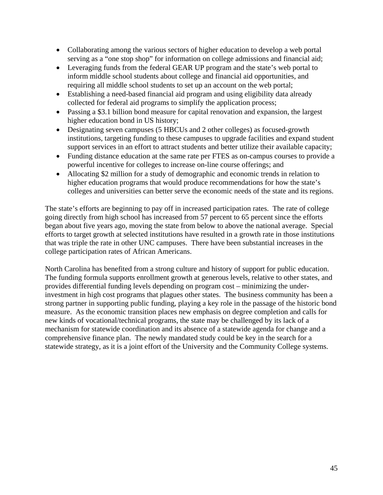- Collaborating among the various sectors of higher education to develop a web portal serving as a "one stop shop" for information on college admissions and financial aid;
- Leveraging funds from the federal GEAR UP program and the state's web portal to inform middle school students about college and financial aid opportunities, and requiring all middle school students to set up an account on the web portal;
- Establishing a need-based financial aid program and using eligibility data already collected for federal aid programs to simplify the application process;
- Passing a \$3.1 billion bond measure for capital renovation and expansion, the largest higher education bond in US history;
- Designating seven campuses (5 HBCUs and 2 other colleges) as focused-growth institutions, targeting funding to these campuses to upgrade facilities and expand student support services in an effort to attract students and better utilize their available capacity;
- Funding distance education at the same rate per FTES as on-campus courses to provide a powerful incentive for colleges to increase on-line course offerings; and
- Allocating \$2 million for a study of demographic and economic trends in relation to higher education programs that would produce recommendations for how the state's colleges and universities can better serve the economic needs of the state and its regions.

The state's efforts are beginning to pay off in increased participation rates. The rate of college going directly from high school has increased from 57 percent to 65 percent since the efforts began about five years ago, moving the state from below to above the national average. Special efforts to target growth at selected institutions have resulted in a growth rate in those institutions that was triple the rate in other UNC campuses. There have been substantial increases in the college participation rates of African Americans.

North Carolina has benefited from a strong culture and history of support for public education. The funding formula supports enrollment growth at generous levels, relative to other states, and provides differential funding levels depending on program cost – minimizing the underinvestment in high cost programs that plagues other states. The business community has been a strong partner in supporting public funding, playing a key role in the passage of the historic bond measure. As the economic transition places new emphasis on degree completion and calls for new kinds of vocational/technical programs, the state may be challenged by its lack of a mechanism for statewide coordination and its absence of a statewide agenda for change and a comprehensive finance plan. The newly mandated study could be key in the search for a statewide strategy, as it is a joint effort of the University and the Community College systems.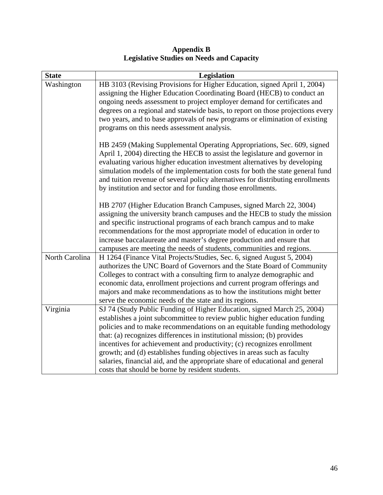| <b>Appendix B</b>                                |
|--------------------------------------------------|
| <b>Legislative Studies on Needs and Capacity</b> |

| <b>State</b>   | Legislation                                                                     |
|----------------|---------------------------------------------------------------------------------|
| Washington     | HB 3103 (Revising Provisions for Higher Education, signed April 1, 2004)        |
|                | assigning the Higher Education Coordinating Board (HECB) to conduct an          |
|                | ongoing needs assessment to project employer demand for certificates and        |
|                | degrees on a regional and statewide basis, to report on those projections every |
|                | two years, and to base approvals of new programs or elimination of existing     |
|                | programs on this needs assessment analysis.                                     |
|                | HB 2459 (Making Supplemental Operating Appropriations, Sec. 609, signed         |
|                | April 1, 2004) directing the HECB to assist the legislature and governor in     |
|                | evaluating various higher education investment alternatives by developing       |
|                | simulation models of the implementation costs for both the state general fund   |
|                | and tuition revenue of several policy alternatives for distributing enrollments |
|                | by institution and sector and for funding those enrollments.                    |
|                | HB 2707 (Higher Education Branch Campuses, signed March 22, 3004)               |
|                | assigning the university branch campuses and the HECB to study the mission      |
|                | and specific instructional programs of each branch campus and to make           |
|                | recommendations for the most appropriate model of education in order to         |
|                | increase baccalaureate and master's degree production and ensure that           |
|                | campuses are meeting the needs of students, communities and regions.            |
| North Carolina | H 1264 (Finance Vital Projects/Studies, Sec. 6, signed August 5, 2004)          |
|                | authorizes the UNC Board of Governors and the State Board of Community          |
|                | Colleges to contract with a consulting firm to analyze demographic and          |
|                | economic data, enrollment projections and current program offerings and         |
|                | majors and make recommendations as to how the institutions might better         |
|                | serve the economic needs of the state and its regions.                          |
| Virginia       | SJ 74 (Study Public Funding of Higher Education, signed March 25, 2004)         |
|                | establishes a joint subcommittee to review public higher education funding      |
|                | policies and to make recommendations on an equitable funding methodology        |
|                | that: (a) recognizes differences in institutional mission; (b) provides         |
|                | incentives for achievement and productivity; (c) recognizes enrollment          |
|                | growth; and (d) establishes funding objectives in areas such as faculty         |
|                | salaries, financial aid, and the appropriate share of educational and general   |
|                | costs that should be borne by resident students.                                |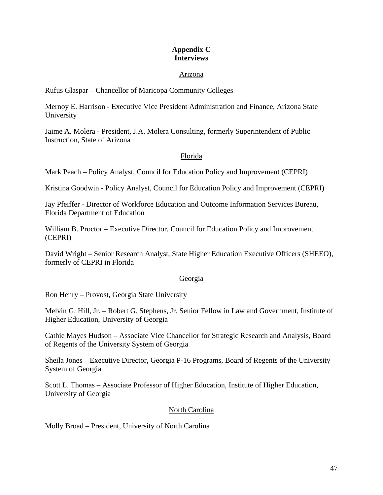# **Appendix C Interviews**

#### Arizona

Rufus Glaspar – Chancellor of Maricopa Community Colleges

Mernoy E. Harrison - Executive Vice President Administration and Finance, Arizona State University

Jaime A. Molera - President, J.A. Molera Consulting, formerly Superintendent of Public Instruction, State of Arizona

# Florida

Mark Peach – Policy Analyst, Council for Education Policy and Improvement (CEPRI)

Kristina Goodwin - Policy Analyst, Council for Education Policy and Improvement (CEPRI)

Jay Pfeiffer - Director of Workforce Education and Outcome Information Services Bureau, Florida Department of Education

William B. Proctor – Executive Director, Council for Education Policy and Improvement (CEPRI)

David Wright – Senior Research Analyst, State Higher Education Executive Officers (SHEEO), formerly of CEPRI in Florida

#### Georgia

Ron Henry – Provost, Georgia State University

Melvin G. Hill, Jr. – Robert G. Stephens, Jr. Senior Fellow in Law and Government, Institute of Higher Education, University of Georgia

Cathie Mayes Hudson – Associate Vice Chancellor for Strategic Research and Analysis, Board of Regents of the University System of Georgia

Sheila Jones – Executive Director, Georgia P-16 Programs, Board of Regents of the University System of Georgia

Scott L. Thomas – Associate Professor of Higher Education, Institute of Higher Education, University of Georgia

# North Carolina

Molly Broad – President, University of North Carolina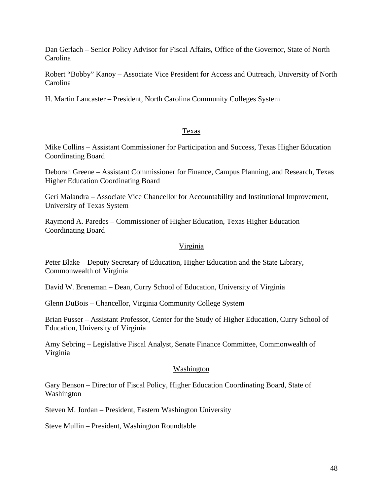Dan Gerlach – Senior Policy Advisor for Fiscal Affairs, Office of the Governor, State of North Carolina

Robert "Bobby" Kanoy – Associate Vice President for Access and Outreach, University of North Carolina

H. Martin Lancaster – President, North Carolina Community Colleges System

#### Texas

Mike Collins – Assistant Commissioner for Participation and Success, Texas Higher Education Coordinating Board

Deborah Greene – Assistant Commissioner for Finance, Campus Planning, and Research, Texas Higher Education Coordinating Board

Geri Malandra – Associate Vice Chancellor for Accountability and Institutional Improvement, University of Texas System

Raymond A. Paredes – Commissioner of Higher Education, Texas Higher Education Coordinating Board

#### Virginia

Peter Blake – Deputy Secretary of Education, Higher Education and the State Library, Commonwealth of Virginia

David W. Breneman – Dean, Curry School of Education, University of Virginia

Glenn DuBois – Chancellor, Virginia Community College System

Brian Pusser – Assistant Professor, Center for the Study of Higher Education, Curry School of Education, University of Virginia

Amy Sebring – Legislative Fiscal Analyst, Senate Finance Committee, Commonwealth of Virginia

#### Washington

Gary Benson – Director of Fiscal Policy, Higher Education Coordinating Board, State of Washington

Steven M. Jordan – President, Eastern Washington University

Steve Mullin – President, Washington Roundtable